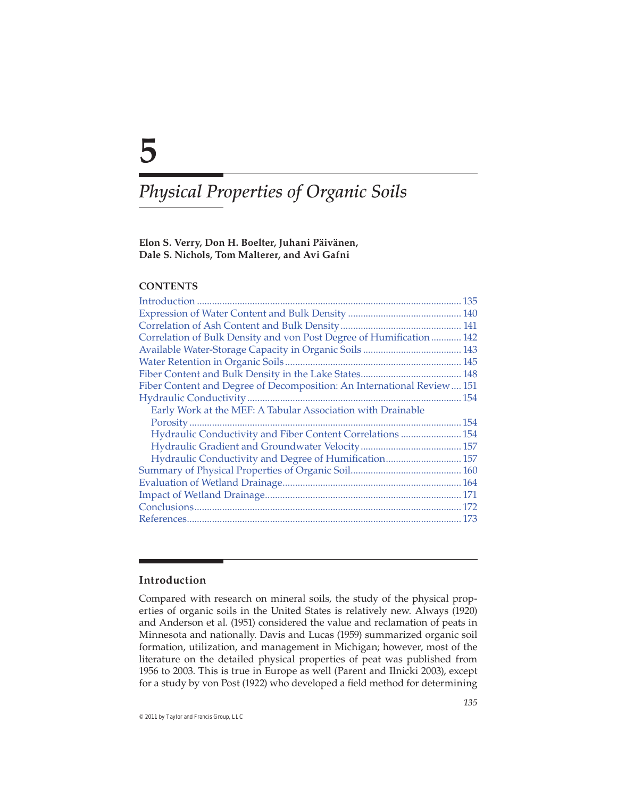# **5**

# *Physical Properties of Organic Soils*

**Elon S. Verry, Don H. Boelter, Juhani Päivänen, Dale S. Nichols, Tom Malterer, and Avi Gafni**

#### **CONTENTS**

| Correlation of Bulk Density and von Post Degree of Humification 142    |  |
|------------------------------------------------------------------------|--|
|                                                                        |  |
|                                                                        |  |
|                                                                        |  |
| Fiber Content and Degree of Decomposition: An International Review 151 |  |
|                                                                        |  |
| Early Work at the MEF: A Tabular Association with Drainable            |  |
|                                                                        |  |
| Hydraulic Conductivity and Fiber Content Correlations  154             |  |
|                                                                        |  |
| Hydraulic Conductivity and Degree of Humification 157                  |  |
|                                                                        |  |
|                                                                        |  |
|                                                                        |  |
|                                                                        |  |
|                                                                        |  |
|                                                                        |  |

# **Introduction**

Compared with research on mineral soils, the study of the physical properties of organic soils in the United States is relatively new. Always (1920) and Anderson et al. (1951) considered the value and reclamation of peats in Minnesota and nationally. Davis and Lucas (1959) summarized organic soil formation, utilization, and management in Michigan; however, most of the literature on the detailed physical properties of peat was published from 1956 to 2003. This is true in Europe as well (Parent and Ilnicki 2003), except for a study by von Post (1922) who developed a field method for determining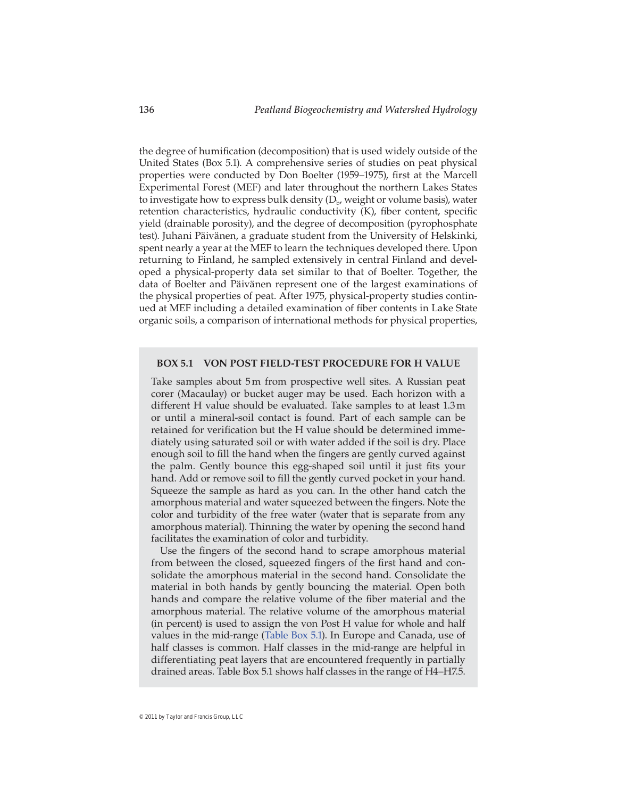the degree of humification (decomposition) that is used widely outside of the United States (Box 5.1). A comprehensive series of studies on peat physical properties were conducted by Don Boelter (1959–1975), first at the Marcell Experimental Forest (MEF) and later throughout the northern Lakes States to investigate how to express bulk density  $(D_{b}$ , weight or volume basis), water retention characteristics, hydraulic conductivity (K), fiber content, specific yield (drainable porosity), and the degree of decomposition (pyrophosphate test). Juhani Päivänen, a graduate student from the University of Helskinki, spent nearly a year at the MEF to learn the techniques developed there. Upon returning to Finland, he sampled extensively in central Finland and developed a physical-property data set similar to that of Boelter. Together, the data of Boelter and Päivänen represent one of the largest examinations of the physical properties of peat. After 1975, physical-property studies continued at MEF including a detailed examination of fiber contents in Lake State organic soils, a comparison of international methods for physical properties,

#### **BOX 5.1 VON POST FIELD-TEST PROCEDURE FOR H VALUE**

Take samples about 5m from prospective well sites. A Russian peat corer (Macaulay) or bucket auger may be used. Each horizon with a different H value should be evaluated. Take samples to at least 1.3 m or until a mineral-soil contact is found. Part of each sample can be retained for verification but the H value should be determined immediately using saturated soil or with water added if the soil is dry. Place enough soil to fill the hand when the fingers are gently curved against the palm. Gently bounce this egg-shaped soil until it just fits your hand. Add or remove soil to fill the gently curved pocket in your hand. Squeeze the sample as hard as you can. In the other hand catch the amorphous material and water squeezed between the fingers. Note the color and turbidity of the free water (water that is separate from any amorphous material). Thinning the water by opening the second hand facilitates the examination of color and turbidity.

Use the fingers of the second hand to scrape amorphous material from between the closed, squeezed fingers of the first hand and consolidate the amorphous material in the second hand. Consolidate the material in both hands by gently bouncing the material. Open both hands and compare the relative volume of the fiber material and the amorphous material. The relative volume of the amorphous material (in percent) is used to assign the von Post H value for whole and half values in the mid-range (Table Box 5.1). In Europe and Canada, use of half classes is common. Half classes in the mid-range are helpful in differentiating peat layers that are encountered frequently in partially drained areas. Table Box 5.1 shows half classes in the range of H4–H7.5.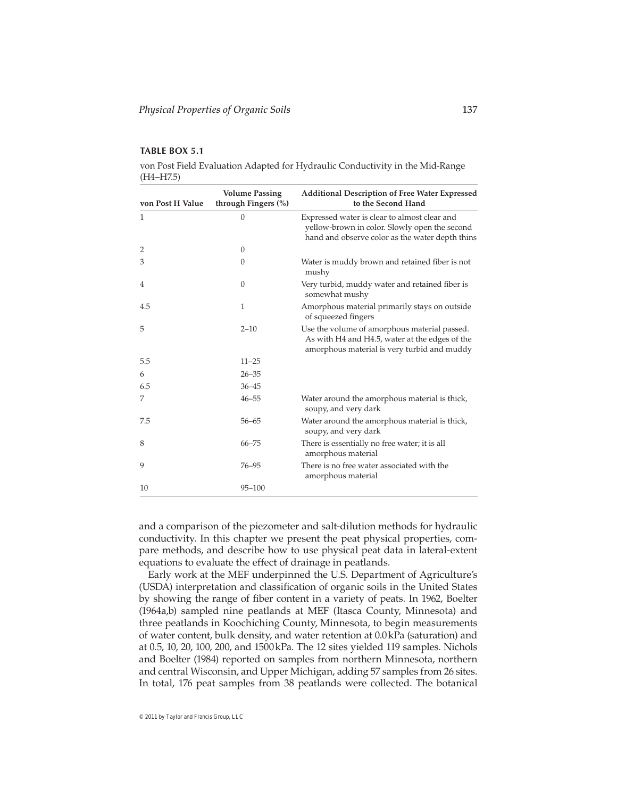# **TABLE BOX 5.1**

von Post Field Evaluation Adapted for Hydraulic Conductivity in the Mid-Range (H4–H7.5)

| von Post H Value | <b>Volume Passing</b><br>through Fingers (%) | <b>Additional Description of Free Water Expressed</b><br>to the Second Hand                                                                      |
|------------------|----------------------------------------------|--------------------------------------------------------------------------------------------------------------------------------------------------|
| $\mathbf{1}$     | $\theta$                                     | Expressed water is clear to almost clear and<br>yellow-brown in color. Slowly open the second<br>hand and observe color as the water depth thins |
| $\overline{2}$   | $\theta$                                     |                                                                                                                                                  |
| 3                | $\theta$                                     | Water is muddy brown and retained fiber is not<br>mushy                                                                                          |
| $\overline{4}$   | $\theta$                                     | Very turbid, muddy water and retained fiber is<br>somewhat mushy                                                                                 |
| 4.5              | $\mathbf{1}$                                 | Amorphous material primarily stays on outside<br>of squeezed fingers                                                                             |
| 5                | $2 - 10$                                     | Use the volume of amorphous material passed.<br>As with H4 and H4.5, water at the edges of the<br>amorphous material is very turbid and muddy    |
| 5.5              | $11 - 25$                                    |                                                                                                                                                  |
| 6                | $26 - 35$                                    |                                                                                                                                                  |
| 6.5              | $36 - 45$                                    |                                                                                                                                                  |
| 7                | $46 - 55$                                    | Water around the amorphous material is thick,<br>soupy, and very dark                                                                            |
| 7.5              | $56 - 65$                                    | Water around the amorphous material is thick,<br>soupy, and very dark                                                                            |
| 8                | $66 - 75$                                    | There is essentially no free water; it is all<br>amorphous material                                                                              |
| 9                | $76 - 95$                                    | There is no free water associated with the<br>amorphous material                                                                                 |
| 10               | $95 - 100$                                   |                                                                                                                                                  |

and a comparison of the piezometer and salt-dilution methods for hydraulic conductivity. In this chapter we present the peat physical properties, compare methods, and describe how to use physical peat data in lateral-extent equations to evaluate the effect of drainage in peatlands.

Early work at the MEF underpinned the U.S. Department of Agriculture's (USDA) interpretation and classification of organic soils in the United States by showing the range of fiber content in a variety of peats. In 1962, Boelter (1964a,b) sampled nine peatlands at MEF (Itasca County, Minnesota) and three peatlands in Koochiching County, Minnesota, to begin measurements of water content, bulk density, and water retention at 0.0 kPa (saturation) and at 0.5, 10, 20, 100, 200, and 1500 kPa. The 12 sites yielded 119 samples. Nichols and Boelter (1984) reported on samples from northern Minnesota, northern and central Wisconsin, and Upper Michigan, adding 57 samples from 26 sites. In total, 176 peat samples from 38 peatlands were collected. The botanical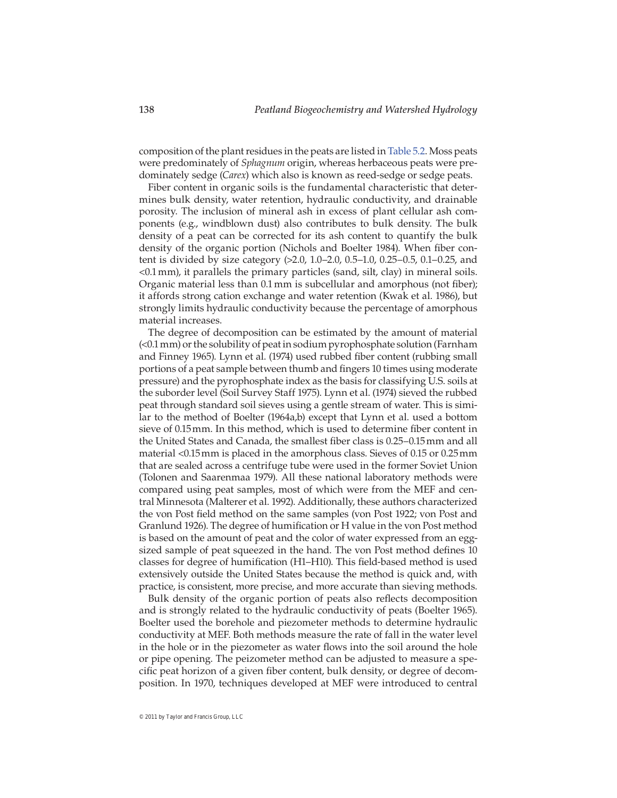composition of the plant residues in the peats are listed in Table 5.2. Moss peats were predominately of *Sphagnum* origin, whereas herbaceous peats were predominately sedge (*Carex*) which also is known as reed-sedge or sedge peats.

Fiber content in organic soils is the fundamental characteristic that determines bulk density, water retention, hydraulic conductivity, and drainable porosity. The inclusion of mineral ash in excess of plant cellular ash components (e.g., windblown dust) also contributes to bulk density. The bulk density of a peat can be corrected for its ash content to quantify the bulk density of the organic portion (Nichols and Boelter 1984). When fiber content is divided by size category (>2.0, 1.0–2.0, 0.5–1.0, 0.25–0.5, 0.1–0.25, and <0.1 mm), it parallels the primary particles (sand, silt, clay) in mineral soils. Organic material less than 0.1 mm is subcellular and amorphous (not fiber); it affords strong cation exchange and water retention (Kwak et al. 1986), but strongly limits hydraulic conductivity because the percentage of amorphous material increases.

The degree of decomposition can be estimated by the amount of material (<0.1 mm) or the solubility of peat in sodium pyrophosphate solution (Farnham and Finney 1965). Lynn et al. (1974) used rubbed fiber content (rubbing small portions of a peat sample between thumb and fingers 10 times using moderate pressure) and the pyrophosphate index as the basis for classifying U.S. soils at the suborder level (Soil Survey Staff 1975). Lynn et al. (1974) sieved the rubbed peat through standard soil sieves using a gentle stream of water. This is similar to the method of Boelter (1964a,b) except that Lynn et al. used a bottom sieve of 0.15 mm. In this method, which is used to determine fiber content in the United States and Canada, the smallest fiber class is 0.25–0.15 mm and all material <0.15 mm is placed in the amorphous class. Sieves of 0.15 or 0.25 mm that are sealed across a centrifuge tube were used in the former Soviet Union (Tolonen and Saarenmaa 1979). All these national laboratory methods were compared using peat samples, most of which were from the MEF and central Minnesota (Malterer et al. 1992). Additionally, these authors characterized the von Post field method on the same samples (von Post 1922; von Post and Granlund 1926). The degree of humification or H value in the von Post method is based on the amount of peat and the color of water expressed from an eggsized sample of peat squeezed in the hand. The von Post method defines 10 classes for degree of humification (H1–H10). This field-based method is used extensively outside the United States because the method is quick and, with practice, is consistent, more precise, and more accurate than sieving methods.

Bulk density of the organic portion of peats also reflects decomposition and is strongly related to the hydraulic conductivity of peats (Boelter 1965). Boelter used the borehole and piezometer methods to determine hydraulic conductivity at MEF. Both methods measure the rate of fall in the water level in the hole or in the piezometer as water flows into the soil around the hole or pipe opening. The peizometer method can be adjusted to measure a specific peat horizon of a given fiber content, bulk density, or degree of decomposition. In 1970, techniques developed at MEF were introduced to central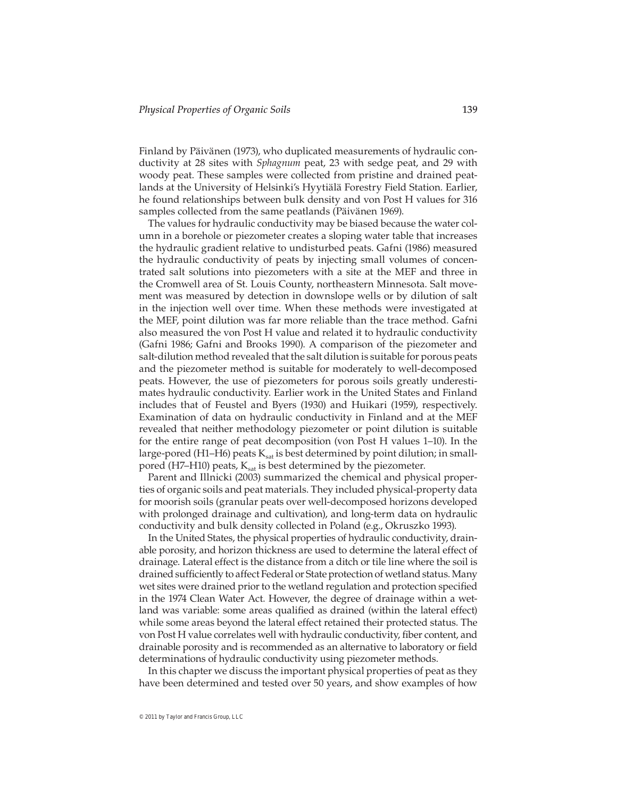Finland by Päivänen (1973), who duplicated measurements of hydraulic conductivity at 28 sites with *Sphagnum* peat, 23 with sedge peat, and 29 with woody peat. These samples were collected from pristine and drained peatlands at the University of Helsinki's Hyytiälä Forestry Field Station. Earlier, he found relationships between bulk density and von Post H values for 316 samples collected from the same peatlands (Päivänen 1969).

The values for hydraulic conductivity may be biased because the water column in a borehole or piezometer creates a sloping water table that increases the hydraulic gradient relative to undisturbed peats. Gafni (1986) measured the hydraulic conductivity of peats by injecting small volumes of concentrated salt solutions into piezometers with a site at the MEF and three in the Cromwell area of St. Louis County, northeastern Minnesota. Salt movement was measured by detection in downslope wells or by dilution of salt in the injection well over time. When these methods were investigated at the MEF, point dilution was far more reliable than the trace method. Gafni also measured the von Post H value and related it to hydraulic conductivity (Gafni 1986; Gafni and Brooks 1990). A comparison of the piezometer and salt-dilution method revealed that the salt dilution is suitable for porous peats and the piezometer method is suitable for moderately to well-decomposed peats. However, the use of piezometers for porous soils greatly underestimates hydraulic conductivity. Earlier work in the United States and Finland includes that of Feustel and Byers (1930) and Huikari (1959), respectively. Examination of data on hydraulic conductivity in Finland and at the MEF revealed that neither methodology piezometer or point dilution is suitable for the entire range of peat decomposition (von Post H values 1–10). In the large-pored (H1–H6) peats  $K_{sat}$  is best determined by point dilution; in smallpored (H7–H10) peats,  $K_{sat}$  is best determined by the piezometer.

Parent and Illnicki (2003) summarized the chemical and physical properties of organic soils and peat materials. They included physical-property data for moorish soils (granular peats over well-decomposed horizons developed with prolonged drainage and cultivation), and long-term data on hydraulic conductivity and bulk density collected in Poland (e.g., Okruszko 1993).

In the United States, the physical properties of hydraulic conductivity, drainable porosity, and horizon thickness are used to determine the lateral effect of drainage. Lateral effect is the distance from a ditch or tile line where the soil is drained sufficiently to affect Federal or State protection of wetland status. Many wet sites were drained prior to the wetland regulation and protection specified in the 1974 Clean Water Act. However, the degree of drainage within a wetland was variable: some areas qualified as drained (within the lateral effect) while some areas beyond the lateral effect retained their protected status. The von Post H value correlates well with hydraulic conductivity, fiber content, and drainable porosity and is recommended as an alternative to laboratory or field determinations of hydraulic conductivity using piezometer methods.

In this chapter we discuss the important physical properties of peat as they have been determined and tested over 50 years, and show examples of how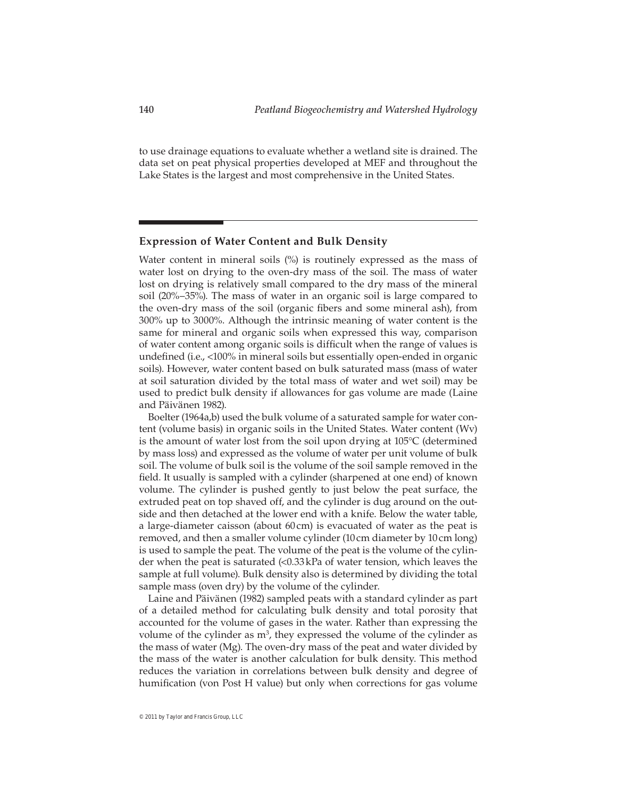to use drainage equations to evaluate whether a wetland site is drained. The data set on peat physical properties developed at MEF and throughout the Lake States is the largest and most comprehensive in the United States.

## **Expression of Water Content and Bulk Density**

Water content in mineral soils (%) is routinely expressed as the mass of water lost on drying to the oven-dry mass of the soil. The mass of water lost on drying is relatively small compared to the dry mass of the mineral soil (20%–35%). The mass of water in an organic soil is large compared to the oven-dry mass of the soil (organic fibers and some mineral ash), from 300% up to 3000%. Although the intrinsic meaning of water content is the same for mineral and organic soils when expressed this way, comparison of water content among organic soils is difficult when the range of values is undefined (i.e., <100% in mineral soils but essentially open-ended in organic soils). However, water content based on bulk saturated mass (mass of water at soil saturation divided by the total mass of water and wet soil) may be used to predict bulk density if allowances for gas volume are made (Laine and Päivänen 1982).

Boelter (1964a,b) used the bulk volume of a saturated sample for water content (volume basis) in organic soils in the United States. Water content (Wv) is the amount of water lost from the soil upon drying at 105°C (determined by mass loss) and expressed as the volume of water per unit volume of bulk soil. The volume of bulk soil is the volume of the soil sample removed in the field. It usually is sampled with a cylinder (sharpened at one end) of known volume. The cylinder is pushed gently to just below the peat surface, the extruded peat on top shaved off, and the cylinder is dug around on the outside and then detached at the lower end with a knife. Below the water table, a large-diameter caisson (about 60cm) is evacuated of water as the peat is removed, and then a smaller volume cylinder (10 cm diameter by 10 cm long) is used to sample the peat. The volume of the peat is the volume of the cylinder when the peat is saturated (<0.33 kPa of water tension, which leaves the sample at full volume). Bulk density also is determined by dividing the total sample mass (oven dry) by the volume of the cylinder.

Laine and Päivänen (1982) sampled peats with a standard cylinder as part of a detailed method for calculating bulk density and total porosity that accounted for the volume of gases in the water. Rather than expressing the volume of the cylinder as  $m<sup>3</sup>$ , they expressed the volume of the cylinder as the mass of water (Mg). The oven-dry mass of the peat and water divided by the mass of the water is another calculation for bulk density. This method reduces the variation in correlations between bulk density and degree of humification (von Post H value) but only when corrections for gas volume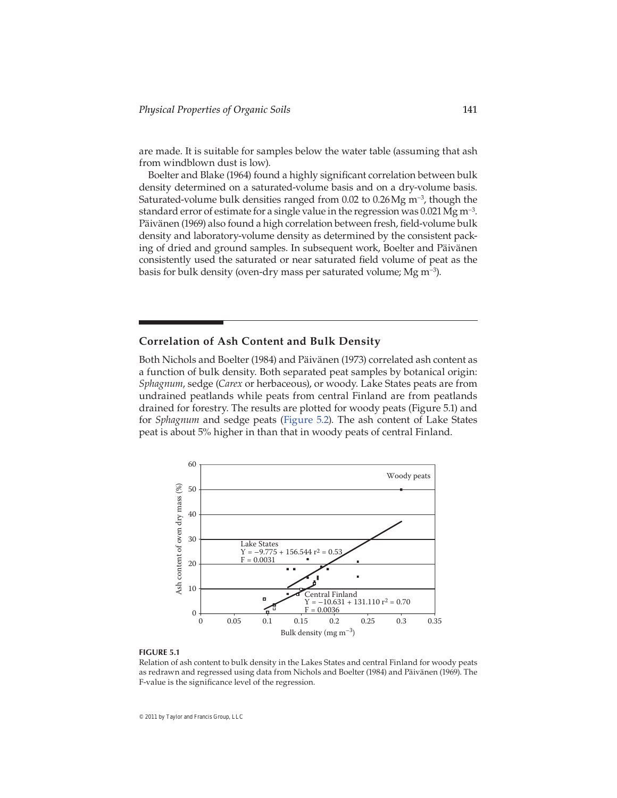are made. It is suitable for samples below the water table (assuming that ash from windblown dust is low).

Boelter and Blake (1964) found a highly significant correlation between bulk density determined on a saturated-volume basis and on a dry-volume basis. Saturated-volume bulk densities ranged from 0.02 to 0.26 Mg m−3, though the standard error of estimate for a single value in the regression was 0.021 Mg m−3. Päivänen (1969) also found a high correlation between fresh, field-volume bulk density and laboratory-volume density as determined by the consistent packing of dried and ground samples. In subsequent work, Boelter and Päivänen consistently used the saturated or near saturated field volume of peat as the basis for bulk density (oven-dry mass per saturated volume; Mg m−3).

#### **Correlation of Ash Content and Bulk Density**

Both Nichols and Boelter (1984) and Päivänen (1973) correlated ash content as a function of bulk density. Both separated peat samples by botanical origin: *Sphagnum*, sedge (*Carex* or herbaceous), or woody. Lake States peats are from undrained peatlands while peats from central Finland are from peatlands drained for forestry. The results are plotted for woody peats (Figure 5.1) and for *Sphagnum* and sedge peats (Figure 5.2). The ash content of Lake States peat is about 5% higher in than that in woody peats of central Finland.



#### **FIGURE 5.1**

Relation of ash content to bulk density in the Lakes States and central Finland for woody peats as redrawn and regressed using data from Nichols and Boelter (1984) and Päivänen (1969). The F-value is the significance level of the regression.

© 2011 by Taylor and Francis Group, LLC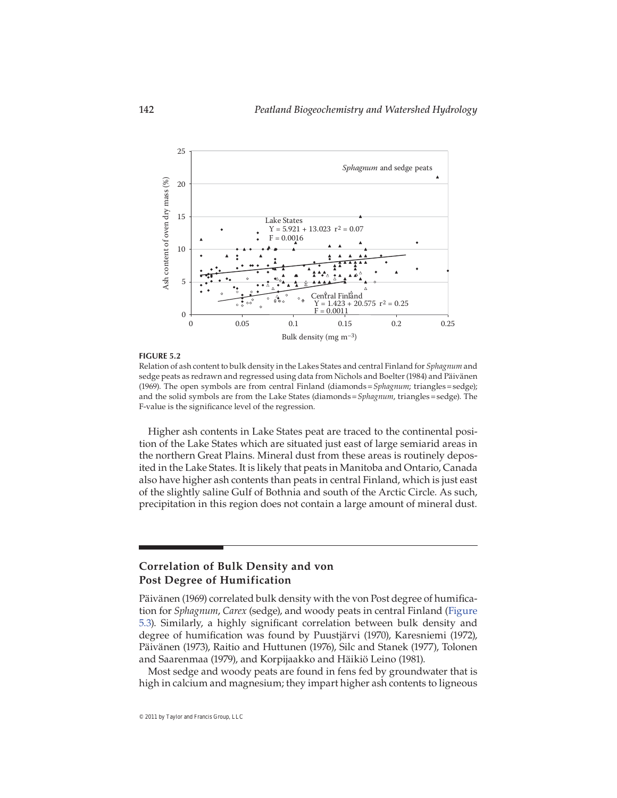

Relation of ash content to bulk density in the Lakes States and central Finland for *Sphagnum* and sedge peats as redrawn and regressed using data from Nichols and Boelter (1984) and Päivänen (1969). The open symbols are from central Finland (diamonds = *Sphagnum*; triangles = sedge); and the solid symbols are from the Lake States (diamonds = *Sphagnum*, triangles = sedge). The F-value is the significance level of the regression.

Higher ash contents in Lake States peat are traced to the continental position of the Lake States which are situated just east of large semiarid areas in the northern Great Plains. Mineral dust from these areas is routinely deposited in the Lake States. It is likely that peats in Manitoba and Ontario, Canada also have higher ash contents than peats in central Finland, which is just east of the slightly saline Gulf of Bothnia and south of the Arctic Circle. As such, precipitation in this region does not contain a large amount of mineral dust.

# **Correlation of Bulk Density and von Post Degree of Humification**

Päivänen (1969) correlated bulk density with the von Post degree of humification for *Sphagnum*, *Carex* (sedge), and woody peats in central Finland (Figure 5.3). Similarly, a highly significant correlation between bulk density and degree of humification was found by Puustjärvi (1970), Karesniemi (1972), Päivänen (1973), Raitio and Huttunen (1976), Silc and Stanek (1977), Tolonen and Saarenmaa (1979), and Korpijaakko and Häikiö Leino (1981).

Most sedge and woody peats are found in fens fed by groundwater that is high in calcium and magnesium; they impart higher ash contents to ligneous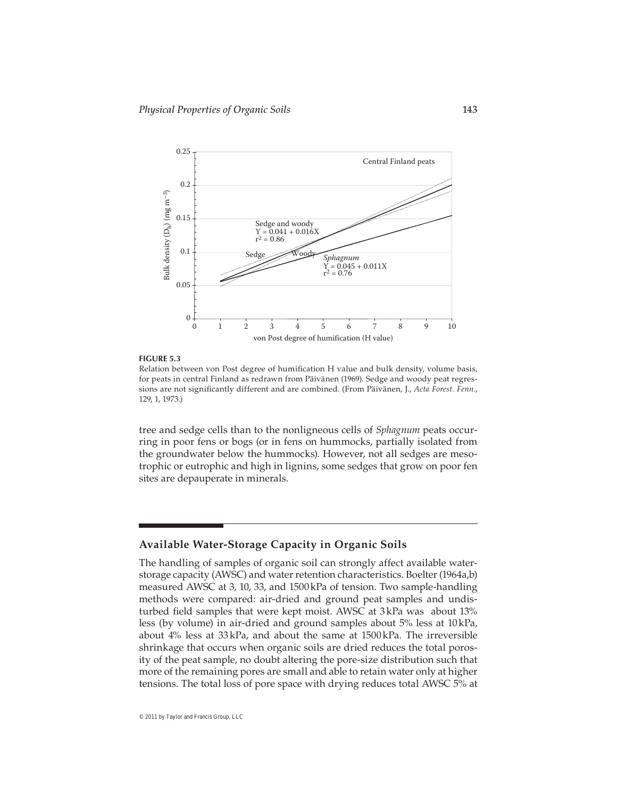

Relation between von Post degree of humification H value and bulk density, volume basis, for peats in central Finland as redrawn from Päivänen (1969). Sedge and woody peat regressions are not significantly different and are combined. (From Päivänen, J., *Acta Forest. Fenn*., 129, 1, 1973.)

tree and sedge cells than to the nonligneous cells of *Sphagnum* peats occurring in poor fens or bogs (or in fens on hummocks, partially isolated from the groundwater below the hummocks). However, not all sedges are mesotrophic or eutrophic and high in lignins, some sedges that grow on poor fen sites are depauperate in minerals.

# **Available Water-Storage Capacity in Organic Soils**

The handling of samples of organic soil can strongly affect available waterstorage capacity (AWSC) and water retention characteristics. Boelter (1964a,b) measured AWSC at 3, 10, 33, and 1500 kPa of tension. Two sample-handling methods were compared: air-dried and ground peat samples and undisturbed field samples that were kept moist. AWSC at 3 kPa was about 13% less (by volume) in air-dried and ground samples about 5% less at 10 kPa, about  $4\%$  less at  $33 \text{kPa}$ , and about the same at  $1500 \text{kPa}$ . The irreversible shrinkage that occurs when organic soils are dried reduces the total porosity of the peat sample, no doubt altering the pore-size distribution such that more of the remaining pores are small and able to retain water only at higher tensions. The total loss of pore space with drying reduces total AWSC 5% at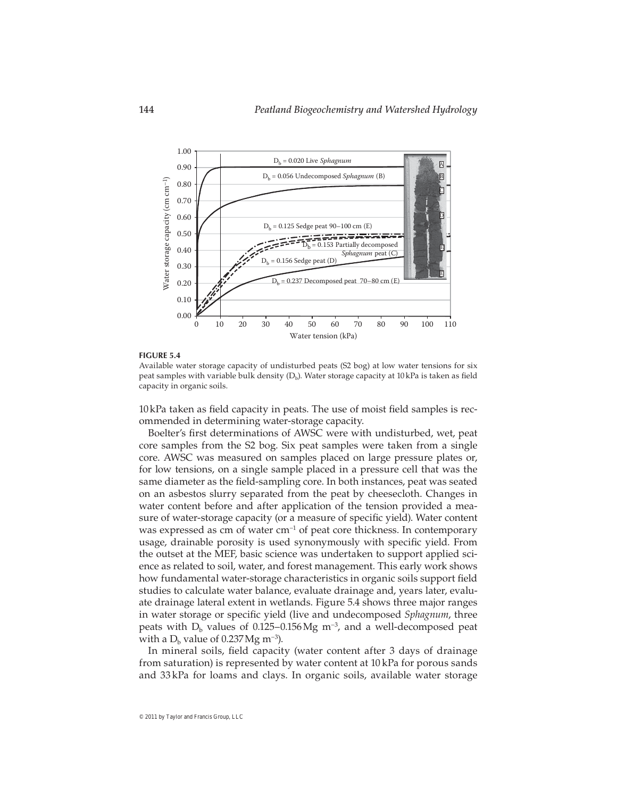

Available water storage capacity of undisturbed peats (S2 bog) at low water tensions for six peat samples with variable bulk density  $(D_b)$ . Water storage capacity at 10 kPa is taken as field capacity in organic soils.

10 kPa taken as field capacity in peats. The use of moist field samples is recommended in determining water-storage capacity.

Boelter's first determinations of AWSC were with undisturbed, wet, peat core samples from the S2 bog. Six peat samples were taken from a single core. AWSC was measured on samples placed on large pressure plates or, for low tensions, on a single sample placed in a pressure cell that was the same diameter as the field-sampling core. In both instances, peat was seated on an asbestos slurry separated from the peat by cheesecloth. Changes in water content before and after application of the tension provided a measure of water-storage capacity (or a measure of specific yield). Water content was expressed as cm of water cm<sup>-1</sup> of peat core thickness. In contemporary usage, drainable porosity is used synonymously with specific yield. From the outset at the MEF, basic science was undertaken to support applied science as related to soil, water, and forest management. This early work shows how fundamental water-storage characteristics in organic soils support field studies to calculate water balance, evaluate drainage and, years later, evaluate drainage lateral extent in wetlands. Figure 5.4 shows three major ranges in water storage or specific yield (live and undecomposed *Sphagnum*, three peats with  $D_b$  values of 0.125–0.156 Mg m<sup>-3</sup>, and a well-decomposed peat with a  $D_b$  value of 0.237 Mg m<sup>-3</sup>).

In mineral soils, field capacity (water content after 3 days of drainage from saturation) is represented by water content at 10 kPa for porous sands and 33 kPa for loams and clays. In organic soils, available water storage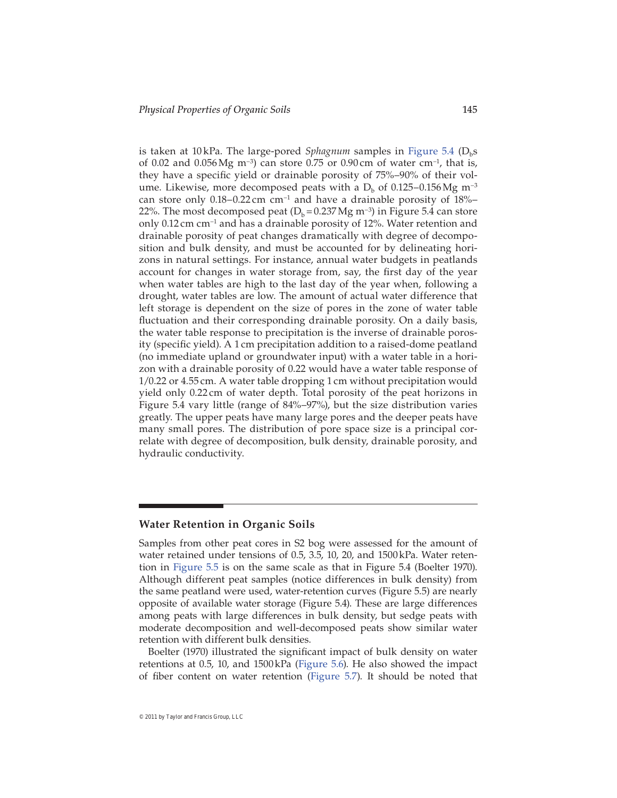is taken at 10 kPa. The large-pored *Sphagnum* samples in Figure 5.4 (D<sub>b</sub>s) of 0.02 and 0.056 Mg m−3) can store 0.75 or 0.90 cm of water cm−1, that is, they have a specific yield or drainable porosity of 75%–90% of their volume. Likewise, more decomposed peats with a  $D_b$  of 0.125–0.156 Mg m<sup>-3</sup> can store only 0.18–0.22 cm cm−1 and have a drainable porosity of 18%– 22%. The most decomposed peat ( $D_b = 0.237$  Mg m<sup>-3</sup>) in Figure 5.4 can store only 0.12 cm cm−1 and has a drainable porosity of 12%. Water retention and drainable porosity of peat changes dramatically with degree of decomposition and bulk density, and must be accounted for by delineating horizons in natural settings. For instance, annual water budgets in peatlands account for changes in water storage from, say, the first day of the year when water tables are high to the last day of the year when, following a drought, water tables are low. The amount of actual water difference that left storage is dependent on the size of pores in the zone of water table fluctuation and their corresponding drainable porosity. On a daily basis, the water table response to precipitation is the inverse of drainable porosity (specific yield). A 1 cm precipitation addition to a raised-dome peatland (no immediate upland or groundwater input) with a water table in a horizon with a drainable porosity of 0.22 would have a water table response of 1/0.22 or 4.55 cm. A water table dropping 1 cm without precipitation would yield only 0.22 cm of water depth. Total porosity of the peat horizons in Figure 5.4 vary little (range of 84%–97%), but the size distribution varies greatly. The upper peats have many large pores and the deeper peats have many small pores. The distribution of pore space size is a principal correlate with degree of decomposition, bulk density, drainable porosity, and hydraulic conductivity.

#### **Water Retention in Organic Soils**

Samples from other peat cores in S2 bog were assessed for the amount of water retained under tensions of 0.5, 3.5, 10, 20, and 1500 kPa. Water retention in Figure 5.5 is on the same scale as that in Figure 5.4 (Boelter 1970). Although different peat samples (notice differences in bulk density) from the same peatland were used, water-retention curves (Figure 5.5) are nearly opposite of available water storage (Figure 5.4). These are large differences among peats with large differences in bulk density, but sedge peats with moderate decomposition and well-decomposed peats show similar water retention with different bulk densities.

Boelter (1970) illustrated the significant impact of bulk density on water retentions at 0.5, 10, and 1500 kPa (Figure 5.6). He also showed the impact of fiber content on water retention (Figure 5.7). It should be noted that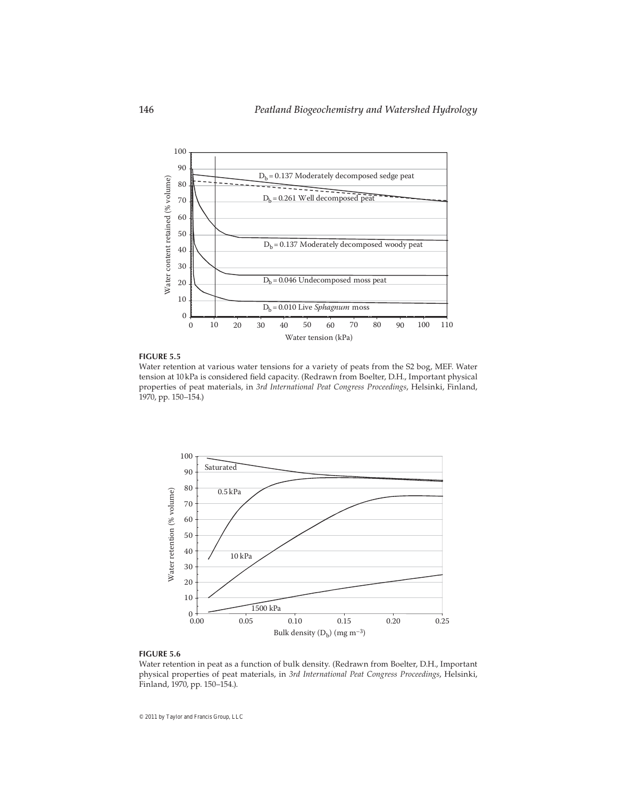

Water retention at various water tensions for a variety of peats from the S2 bog, MEF. Water tension at 10 kPa is considered field capacity. (Redrawn from Boelter, D.H., Important physical properties of peat materials, in *3rd International Peat Congress Proceedings*, Helsinki, Finland, 1970, pp. 150–154.)



#### **FIGURE 5.6**

Water retention in peat as a function of bulk density. (Redrawn from Boelter, D.H., Important physical properties of peat materials, in *3rd International Peat Congress Proceedings*, Helsinki, Finland, 1970, pp. 150–154.).

© 2011 by Taylor and Francis Group, LLC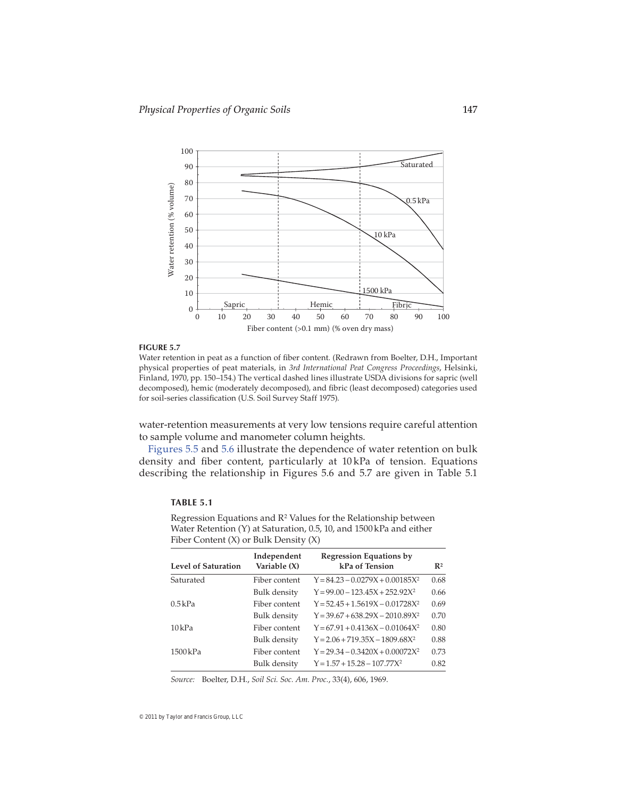

Water retention in peat as a function of fiber content. (Redrawn from Boelter, D.H., Important physical properties of peat materials, in *3rd International Peat Congress Proceedings*, Helsinki, Finland, 1970, pp. 150–154.) The vertical dashed lines illustrate USDA divisions for sapric (well decomposed), hemic (moderately decomposed), and fibric (least decomposed) categories used for soil-series classification (U.S. Soil Survey Staff 1975).

water-retention measurements at very low tensions require careful attention to sample volume and manometer column heights.

Figures 5.5 and 5.6 illustrate the dependence of water retention on bulk density and fiber content, particularly at 10 kPa of tension. Equations describing the relationship in Figures 5.6 and 5.7 are given in Table 5.1

#### **TABLE 5.1**

Regression Equations and  $R^2$  Values for the Relationship between Water Retention (Y) at Saturation, 0.5, 10, and 1500 kPa and either Fiber Content (X) or Bulk Density (X)

| <b>Level of Saturation</b> | Independent<br>Variable (X) | <b>Regression Equations by</b><br>kPa of Tension | $\mathbb{R}^2$ |
|----------------------------|-----------------------------|--------------------------------------------------|----------------|
| Saturated                  | Fiber content               | $Y = 84.23 - 0.0279X + 0.00185X^2$               | 0.68           |
|                            | <b>Bulk</b> density         | $Y = 99.00 - 123.45X + 252.92X^2$                | 0.66           |
| 0.5kPa                     | Fiber content               | $Y = 52.45 + 1.5619X - 0.01728X^2$               | 0.69           |
|                            | <b>Bulk</b> density         | $Y = 39.67 + 638.29X - 2010.89X^2$               | 0.70           |
| 10kPa                      | Fiber content               | $Y = 67.91 + 0.4136X - 0.01064X^2$               | 0.80           |
|                            | Bulk density                | $Y = 2.06 + 719.35X - 1809.68X^2$                | 0.88           |
| 1500 kPa                   | Fiber content               | $Y = 29.34 - 0.3420X + 0.00072X^2$               | 0.73           |
|                            | <b>Bulk</b> density         | $Y = 1.57 + 15.28 - 107.77X^2$                   | 0.82           |

*Source:* Boelter, D.H., *Soil Sci. Soc. Am. Proc.*, 33(4), 606, 1969.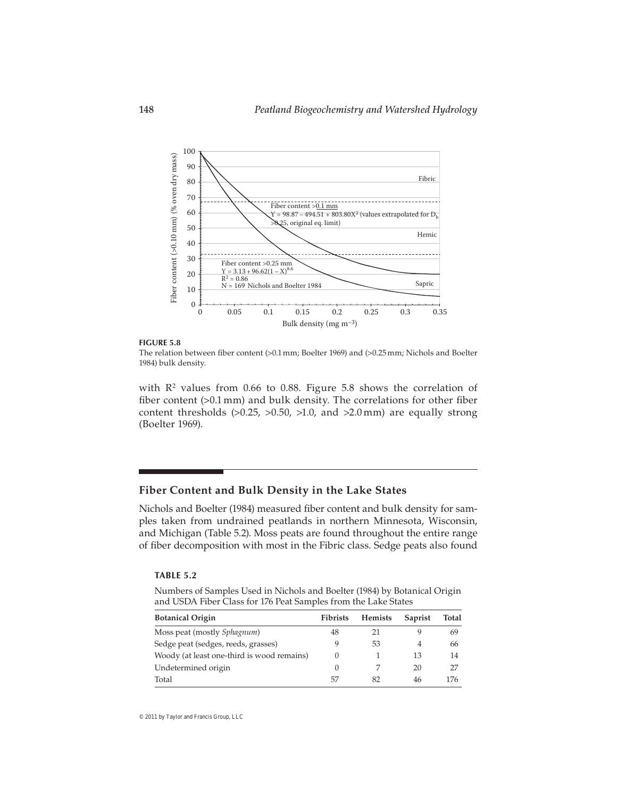

The relation between fiber content (>0.1 mm; Boelter 1969) and (>0.25 mm; Nichols and Boelter 1984) bulk density.

with  $R<sup>2</sup>$  values from 0.66 to 0.88. Figure 5.8 shows the correlation of fiber content (>0.1 mm) and bulk density. The correlations for other fiber content thresholds  $(>0.25, >0.50, >1.0,$  and  $>2.0$  mm) are equally strong (Boelter 1969).

# **Fiber Content and Bulk Density in the Lake States**

Nichols and Boelter (1984) measured fiber content and bulk density for samples taken from undrained peatlands in northern Minnesota, Wisconsin, and Michigan (Table 5.2). Moss peats are found throughout the entire range of fiber decomposition with most in the Fibric class. Sedge peats also found

# **TABLE 5.2**

Numbers of Samples Used in Nichols and Boelter (1984) by Botanical Origin and USDA Fiber Class for 176 Peat Samples from the Lake States

| <b>Botanical Origin</b>                    | <b>Fibrists</b> | <b>Hemists</b> | Saprist | Total |
|--------------------------------------------|-----------------|----------------|---------|-------|
| Moss peat (mostly Sphagnum)                | 48              | 21             |         | 69    |
| Sedge peat (sedges, reeds, grasses)        | 9               | 53             | 4       | 66    |
| Woody (at least one-third is wood remains) |                 |                | 13      | 14    |
| Undetermined origin                        | $\Omega$        |                | 20      |       |
| Total                                      | 57              | 82             | 46      | 176   |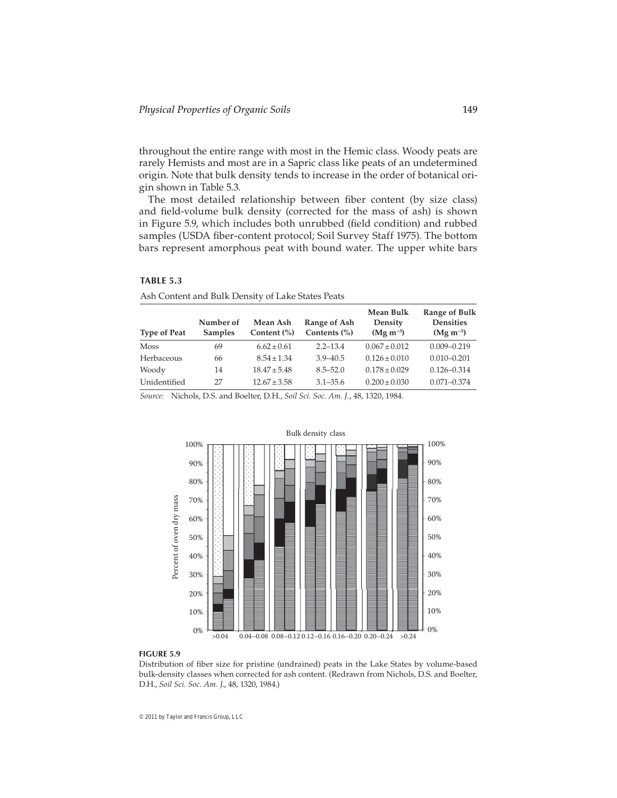throughout the entire range with most in the Hemic class. Woody peats are rarely Hemists and most are in a Sapric class like peats of an undetermined origin. Note that bulk density tends to increase in the order of botanical origin shown in Table 5.3.

The most detailed relationship between fiber content (by size class) and field-volume bulk density (corrected for the mass of ash) is shown in Figure 5.9, which includes both unrubbed (field condition) and rubbed samples (USDA fiber-content protocol; Soil Survey Staff 1975). The bottom bars represent amorphous peat with bound water. The upper white bars

#### **TABLE 5.3**

Ash Content and Bulk Density of Lake States Peats

| <b>Type of Peat</b> | Number of<br><b>Samples</b> | Mean Ash<br>Content $(\%)$ | Range of Ash<br>Contents $(\% )$ | <b>Mean Bulk</b><br>Density<br>$(Mg \, m^{-3})$ | Range of Bulk<br><b>Densities</b><br>$(Mg \, m^{-3})$ |
|---------------------|-----------------------------|----------------------------|----------------------------------|-------------------------------------------------|-------------------------------------------------------|
| <b>Moss</b>         | 69                          | $6.62 \pm 0.61$            | $2.2 - 13.4$                     | $0.067 \pm 0.012$                               | $0.009 - 0.219$                                       |
| Herbaceous          | 66                          | $8.54 \pm 1.34$            | $3.9 - 40.5$                     | $0.126 \pm 0.010$                               | $0.010 - 0.201$                                       |
| Woody               | 14                          | $18.47 \pm 5.48$           | $8.5 - 52.0$                     | $0.178 \pm 0.029$                               | $0.126 - 0.314$                                       |
| Unidentified        | 27                          | $12.67 \pm 3.58$           | $3.1 - 35.6$                     | $0.200 \pm 0.030$                               | $0.071 - 0.374$                                       |

*Source:* Nichols, D.S. and Boelter, D.H., *Soil Sci. Soc. Am. J.*, 48, 1320, 1984.



#### **FIGURE 5.9**

Distribution of fiber size for pristine (undrained) peats in the Lake States by volume-based bulk-density classes when corrected for ash content. (Redrawn from Nichols, D.S. and Boelter, D.H., *Soil Sci. Soc. Am. J*., 48, 1320, 1984.)

© 2011 by Taylor and Francis Group, LLC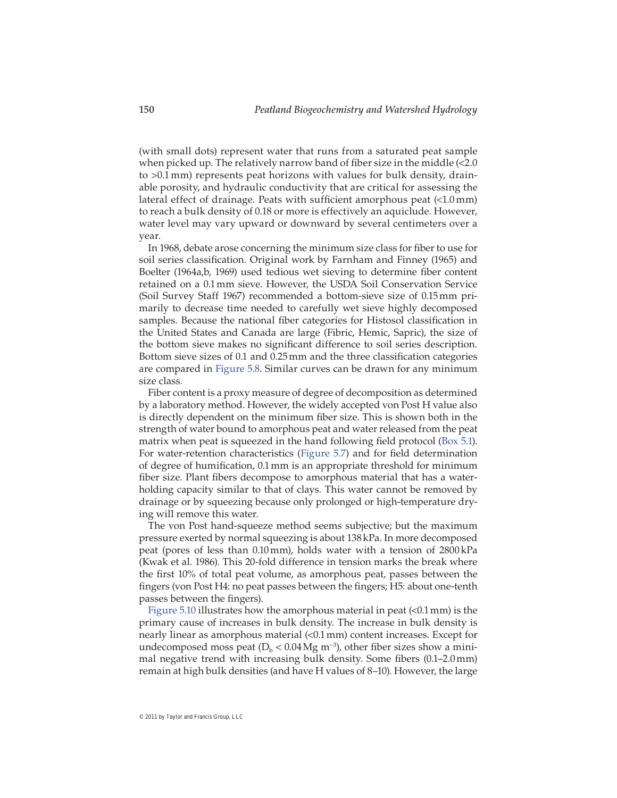(with small dots) represent water that runs from a saturated peat sample when picked up. The relatively narrow band of fiber size in the middle (<2.0 to >0.1 mm) represents peat horizons with values for bulk density, drainable porosity, and hydraulic conductivity that are critical for assessing the lateral effect of drainage. Peats with sufficient amorphous peat (<1.0 mm) to reach a bulk density of 0.18 or more is effectively an aquiclude. However, water level may vary upward or downward by several centimeters over a year.

In 1968, debate arose concerning the minimum size class for fiber to use for soil series classification. Original work by Farnham and Finney (1965) and Boelter (1964a,b, 1969) used tedious wet sieving to determine fiber content retained on a 0.1 mm sieve. However, the USDA Soil Conservation Service (Soil Survey Staff 1967) recommended a bottom-sieve size of 0.15 mm primarily to decrease time needed to carefully wet sieve highly decomposed samples. Because the national fiber categories for Histosol classification in the United States and Canada are large (Fibric, Hemic, Sapric), the size of the bottom sieve makes no significant difference to soil series description. Bottom sieve sizes of 0.1 and 0.25 mm and the three classification categories are compared in Figure 5.8. Similar curves can be drawn for any minimum size class.

Fiber content is a proxy measure of degree of decomposition as determined by a laboratory method. However, the widely accepted von Post H value also is directly dependent on the minimum fiber size. This is shown both in the strength of water bound to amorphous peat and water released from the peat matrix when peat is squeezed in the hand following field protocol (Box 5.1). For water-retention characteristics (Figure 5.7) and for field determination of degree of humification, 0.1 mm is an appropriate threshold for minimum fiber size. Plant fibers decompose to amorphous material that has a waterholding capacity similar to that of clays. This water cannot be removed by drainage or by squeezing because only prolonged or high-temperature drying will remove this water.

The von Post hand-squeeze method seems subjective; but the maximum pressure exerted by normal squeezing is about 138 kPa. In more decomposed peat (pores of less than 0.10 mm), holds water with a tension of 2800 kPa (Kwak et al. 1986). This 20-fold difference in tension marks the break where the first 10% of total peat volume, as amorphous peat, passes between the fingers (von Post H4: no peat passes between the fingers; H5: about one-tenth passes between the fingers).

Figure 5.10 illustrates how the amorphous material in peat  $\leq 0.1$  mm) is the primary cause of increases in bulk density. The increase in bulk density is nearly linear as amorphous material (<0.1 mm) content increases. Except for undecomposed moss peat ( $D<sub>b</sub>$  < 0.04 Mg m<sup>-3</sup>), other fiber sizes show a minimal negative trend with increasing bulk density. Some fibers (0.1–2.0 mm) remain at high bulk densities (and have H values of 8–10). However, the large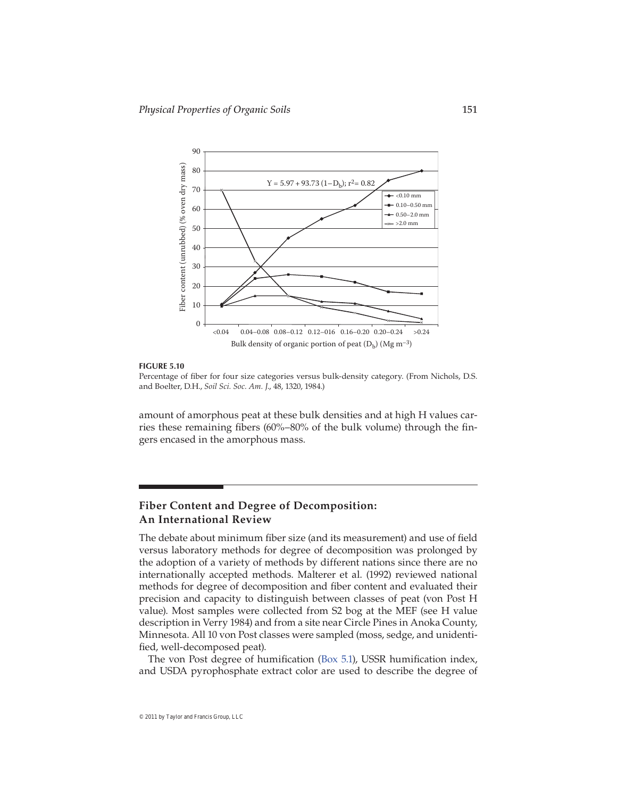

Percentage of fiber for four size categories versus bulk-density category. (From Nichols, D.S. and Boelter, D.H., *Soil Sci. Soc. Am. J*., 48, 1320, 1984.)

amount of amorphous peat at these bulk densities and at high H values carries these remaining fibers (60%–80% of the bulk volume) through the fingers encased in the amorphous mass.

# **Fiber Content and Degree of Decomposition: An International Review**

The debate about minimum fiber size (and its measurement) and use of field versus laboratory methods for degree of decomposition was prolonged by the adoption of a variety of methods by different nations since there are no internationally accepted methods. Malterer et al. (1992) reviewed national methods for degree of decomposition and fiber content and evaluated their precision and capacity to distinguish between classes of peat (von Post H value). Most samples were collected from S2 bog at the MEF (see H value description in Verry 1984) and from a site near Circle Pines in Anoka County, Minnesota. All 10 von Post classes were sampled (moss, sedge, and unidentified, well-decomposed peat).

The von Post degree of humification (Box 5.1), USSR humification index, and USDA pyrophosphate extract color are used to describe the degree of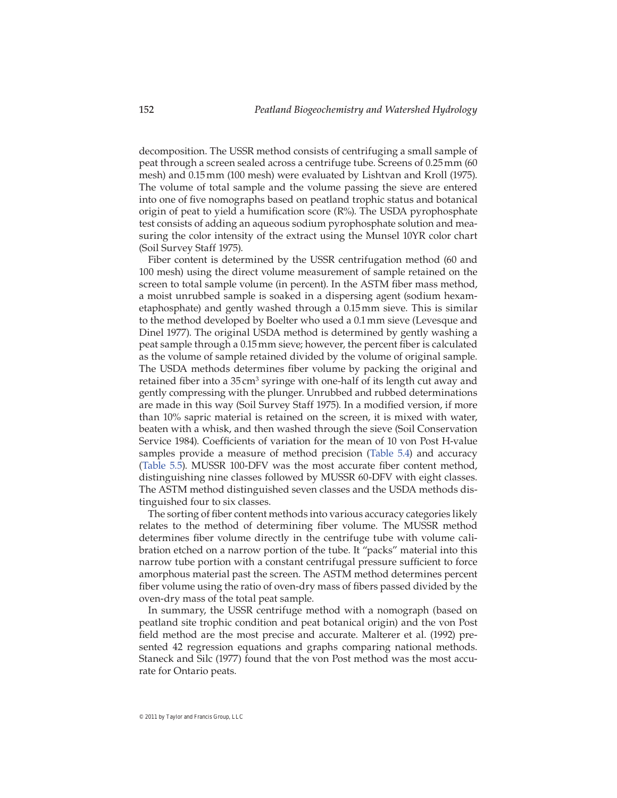decomposition. The USSR method consists of centrifuging a small sample of peat through a screen sealed across a centrifuge tube. Screens of 0.25 mm (60 mesh) and 0.15 mm (100 mesh) were evaluated by Lishtvan and Kroll (1975). The volume of total sample and the volume passing the sieve are entered into one of five nomographs based on peatland trophic status and botanical origin of peat to yield a humification score (R%). The USDA pyrophosphate test consists of adding an aqueous sodium pyrophosphate solution and measuring the color intensity of the extract using the Munsel 10YR color chart (Soil Survey Staff 1975).

Fiber content is determined by the USSR centrifugation method (60 and 100 mesh) using the direct volume measurement of sample retained on the screen to total sample volume (in percent). In the ASTM fiber mass method, a moist unrubbed sample is soaked in a dispersing agent (sodium hexametaphosphate) and gently washed through a 0.15 mm sieve. This is similar to the method developed by Boelter who used a 0.1 mm sieve (Levesque and Dinel 1977). The original USDA method is determined by gently washing a peat sample through a 0.15 mm sieve; however, the percent fiber is calculated as the volume of sample retained divided by the volume of original sample. The USDA methods determines fiber volume by packing the original and retained fiber into a 35 cm<sup>3</sup> syringe with one-half of its length cut away and gently compressing with the plunger. Unrubbed and rubbed determinations are made in this way (Soil Survey Staff 1975). In a modified version, if more than 10% sapric material is retained on the screen, it is mixed with water, beaten with a whisk, and then washed through the sieve (Soil Conservation Service 1984). Coefficients of variation for the mean of 10 von Post H-value samples provide a measure of method precision (Table 5.4) and accuracy (Table 5.5). MUSSR 100-DFV was the most accurate fiber content method, distinguishing nine classes followed by MUSSR 60-DFV with eight classes. The ASTM method distinguished seven classes and the USDA methods distinguished four to six classes.

The sorting of fiber content methods into various accuracy categories likely relates to the method of determining fiber volume. The MUSSR method determines fiber volume directly in the centrifuge tube with volume calibration etched on a narrow portion of the tube. It "packs" material into this narrow tube portion with a constant centrifugal pressure sufficient to force amorphous material past the screen. The ASTM method determines percent fiber volume using the ratio of oven-dry mass of fibers passed divided by the oven-dry mass of the total peat sample.

In summary, the USSR centrifuge method with a nomograph (based on peatland site trophic condition and peat botanical origin) and the von Post field method are the most precise and accurate. Malterer et al. (1992) presented 42 regression equations and graphs comparing national methods. Staneck and Silc (1977) found that the von Post method was the most accurate for Ontario peats.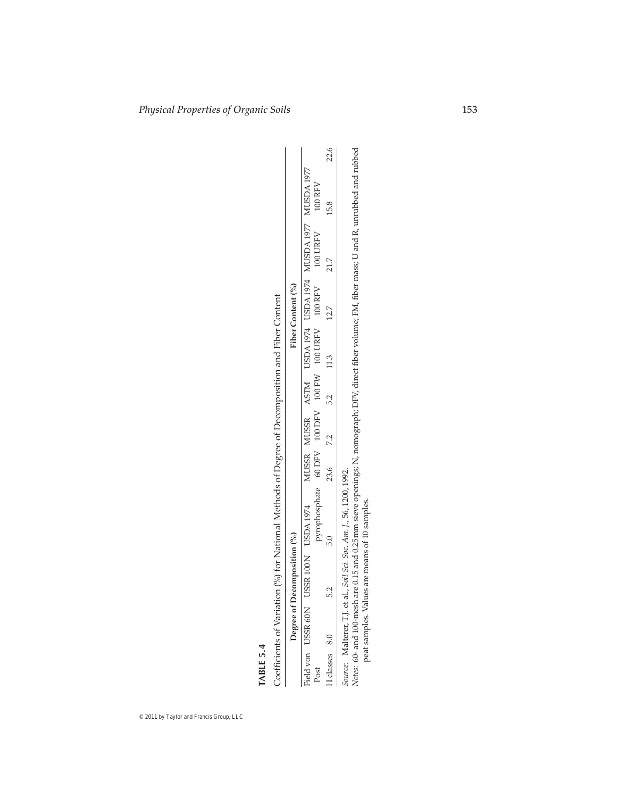| d Eihar Cantant<br>of Decomposition and<br>i nchi<br>$+$ Doctor of<br>T DERTEE O | Fiber Content ('                                                                                                           |
|----------------------------------------------------------------------------------|----------------------------------------------------------------------------------------------------------------------------|
| $\frac{1}{2}$ riation (%) for National Mothod<br>Coefficient                     | $\binom{0}{0}$<br>Pecomposition<br>こくしょう こうしょう こうこうしゃ こうこうしゃ アルフェル アルフェル アルフェル アルフェル かんじょう しんしゃ しんじょう しんしゃ しんじょう しんしゃ アルバン |

| TABLE 5.4     |                    |                             |                                                                                                                                                                                                                            |      |         |     |             |                   |                                                            |           |      |
|---------------|--------------------|-----------------------------|----------------------------------------------------------------------------------------------------------------------------------------------------------------------------------------------------------------------------|------|---------|-----|-------------|-------------------|------------------------------------------------------------|-----------|------|
|               |                    |                             | Coefficients of Variation (%) for National Methods of Degree of Decomposition and Fiber Content                                                                                                                            |      |         |     |             |                   |                                                            |           |      |
|               |                    | Degree of Decomposition (%) |                                                                                                                                                                                                                            |      |         |     |             | Fiber Content (%) |                                                            |           |      |
| Post          | Field von USSR 60N |                             | Pyrophosphate 60 DFV 100 DFV 100 FW 100 URFV 100 RFV 100 URFV<br>USSR 100 N USDA 1974                                                                                                                                      |      |         |     |             |                   | MUSSR MUSSR ASTM USDA 1974 USDA 1974 MUSDA 1977 MUSDA 1977 | $100$ RFV |      |
| H classes 8.0 |                    | 52                          |                                                                                                                                                                                                                            | 23.6 | 72<br>7 | 5.2 | $11.3$ $\,$ | 12.7              | 21.7                                                       | 15.8      | 22.6 |
|               |                    |                             | Notes: 60- and 100-mesh are 0.15 and 0.25 mm sieve openings; N, nomograph; DFV, direct fiber volume; FM, fiber mass; U and R, unrubbed and rubbed<br>Source: Malterer, T.J. et al., Soil Sci. Soc. Am. J., 56, 1200, 1992. |      |         |     |             |                   |                                                            |           |      |
|               |                    |                             | peat samples. Values are means of 10 samples.                                                                                                                                                                              |      |         |     |             |                   |                                                            |           |      |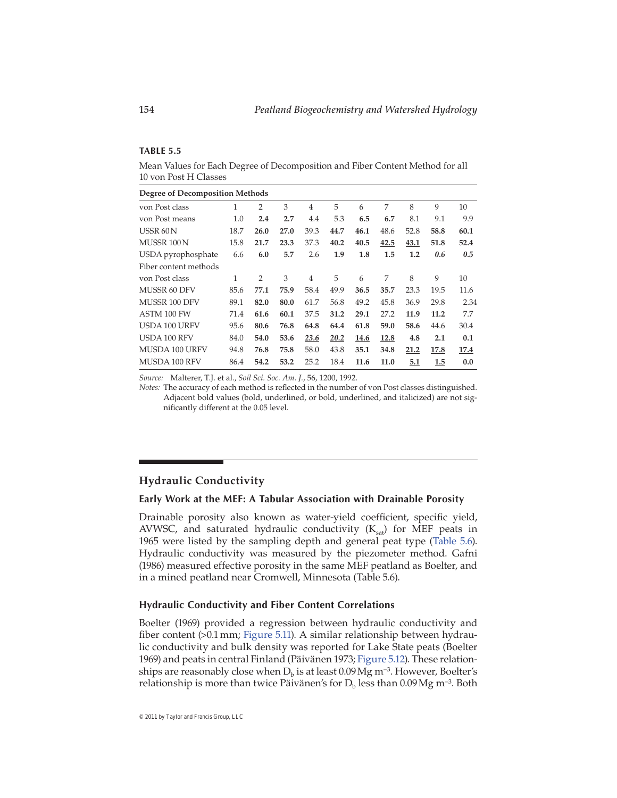# **TABLE 5.5**

Mean Values for Each Degree of Decomposition and Fiber Content Method for all 10 von Post H Classes

| <b>Degree of Decomposition Methods</b> |              |                |      |                |      |      |      |                  |      |      |
|----------------------------------------|--------------|----------------|------|----------------|------|------|------|------------------|------|------|
| von Post class                         | 1            | $\overline{2}$ | 3    | $\overline{4}$ | 5    | 6    | 7    | 8                | 9    | 10   |
| von Post means                         | 1.0          | 2.4            | 2.7  | 4.4            | 5.3  | 6.5  | 6.7  | 8.1              | 9.1  | 9.9  |
| USSR 60N                               | 18.7         | 26.0           | 27.0 | 39.3           | 44.7 | 46.1 | 48.6 | 52.8             | 58.8 | 60.1 |
| MUSSR 100N                             | 15.8         | 21.7           | 23.3 | 37.3           | 40.2 | 40.5 | 42.5 | 43.1             | 51.8 | 52.4 |
| USDA pyrophosphate                     | 6.6          | 6.0            | 5.7  | 2.6            | 1.9  | 1.8  | 1.5  | $1.2\phantom{0}$ | 0.6  | 0.5  |
| Fiber content methods                  |              |                |      |                |      |      |      |                  |      |      |
| von Post class                         | $\mathbf{1}$ | $\overline{2}$ | 3    | $\overline{4}$ | 5    | 6    | 7    | 8                | 9    | 10   |
| MUSSR 60 DFV                           | 85.6         | 77.1           | 75.9 | 58.4           | 49.9 | 36.5 | 35.7 | 23.3             | 19.5 | 11.6 |
| MUSSR 100 DFV                          | 89.1         | 82.0           | 80.0 | 61.7           | 56.8 | 49.2 | 45.8 | 36.9             | 29.8 | 2.34 |
| ASTM 100 FW                            | 71.4         | 61.6           | 60.1 | 37.5           | 31.2 | 29.1 | 27.2 | 11.9             | 11.2 | 7.7  |
| USDA 100 URFV                          | 95.6         | 80.6           | 76.8 | 64.8           | 64.4 | 61.8 | 59.0 | 58.6             | 44.6 | 30.4 |
| USDA 100 RFV                           | 84.0         | 54.0           | 53.6 | 23.6           | 20.2 | 14.6 | 12.8 | 4.8              | 2.1  | 0.1  |
| MUSDA 100 URFV                         | 94.8         | 76.8           | 75.8 | 58.0           | 43.8 | 35.1 | 34.8 | 21.2             | 17.8 | 17.4 |
| MUSDA 100 RFV                          | 86.4         | 54.2           | 53.2 | 25.2           | 18.4 | 11.6 | 11.0 | 5.1              | 1.5  | 0.0  |

*Source:* Malterer, T.J. et al., *Soil Sci. Soc. Am. J.*, 56, 1200, 1992.

*Notes:* The accuracy of each method is reflected in the number of von Post classes distinguished. Adjacent bold values (bold, underlined, or bold, underlined, and italicized) are not significantly different at the 0.05 level.

# **Hydraulic Conductivity**

#### **Early Work at the MEF: A Tabular Association with Drainable Porosity**

Drainable porosity also known as water-yield coefficient, specific yield, AVWSC, and saturated hydraulic conductivity  $(K_{sat})$  for MEF peats in 1965 were listed by the sampling depth and general peat type (Table 5.6). Hydraulic conductivity was measured by the piezometer method. Gafni (1986) measured effective porosity in the same MEF peatland as Boelter, and in a mined peatland near Cromwell, Minnesota (Table 5.6).

## **Hydraulic Conductivity and Fiber Content Correlations**

Boelter (1969) provided a regression between hydraulic conductivity and fiber content (>0.1 mm; Figure 5.11). A similar relationship between hydraulic conductivity and bulk density was reported for Lake State peats (Boelter 1969) and peats in central Finland (Päivänen 1973; Figure 5.12). These relationships are reasonably close when  $D<sub>b</sub>$  is at least 0.09 Mg m<sup>-3</sup>. However, Boelter's relationship is more than twice Päivänen's for  $D<sub>b</sub>$  less than 0.09 Mg m<sup>-3</sup>. Both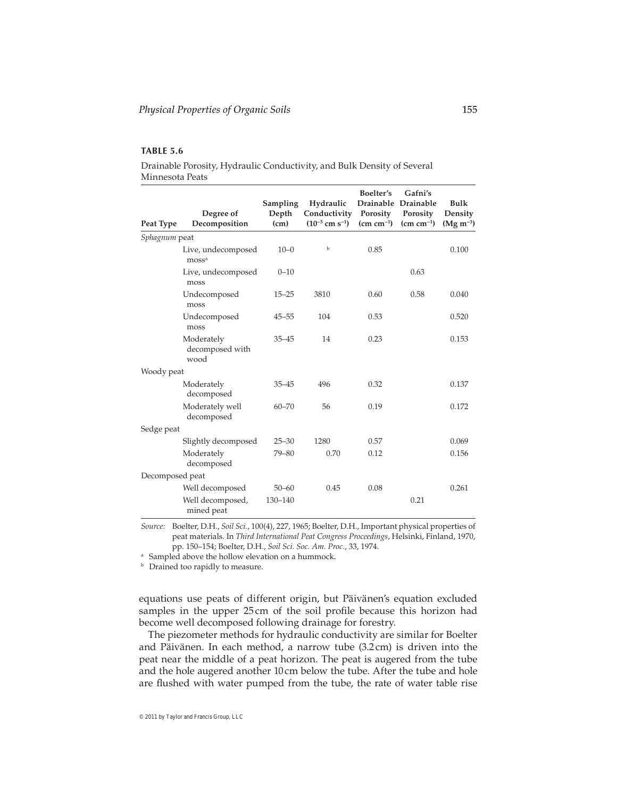# **TABLE 5.6**

Drainable Porosity, Hydraulic Conductivity, and Bulk Density of Several Minnesota Peats

| Peat Type       | Degree of<br>Decomposition            | Sampling<br>Depth<br>(c <sub>m</sub> ) | Hydraulic<br>Conductivity<br>$(10^{-5}$ cm s <sup>-1</sup> ) | Boelter's<br>Porosity<br>$\rm \left( cm \; cm^{-1} \right)$ | Gafni's<br>Drainable Drainable<br>Porosity<br>$(cm cm-1)$ | <b>Bulk</b><br>Density<br>$(Mg m^{-3})$ |
|-----------------|---------------------------------------|----------------------------------------|--------------------------------------------------------------|-------------------------------------------------------------|-----------------------------------------------------------|-----------------------------------------|
| Sphagnum peat   |                                       |                                        |                                                              |                                                             |                                                           |                                         |
|                 | Live, undecomposed<br>$~m$ ossa       | $10 - 0$                               | b                                                            | 0.85                                                        |                                                           | 0.100                                   |
|                 | Live, undecomposed<br>moss            | $0 - 10$                               |                                                              |                                                             | 0.63                                                      |                                         |
|                 | Undecomposed<br>moss                  | $15 - 25$                              | 3810                                                         | 0.60                                                        | 0.58                                                      | 0.040                                   |
|                 | Undecomposed<br>moss                  | $45 - 55$                              | 104                                                          | 0.53                                                        |                                                           | 0.520                                   |
|                 | Moderately<br>decomposed with<br>wood | $35 - 45$                              | 14                                                           | 0.23                                                        |                                                           | 0.153                                   |
| Woody peat      |                                       |                                        |                                                              |                                                             |                                                           |                                         |
|                 | Moderately<br>decomposed              | $35 - 45$                              | 496                                                          | 0.32                                                        |                                                           | 0.137                                   |
|                 | Moderately well<br>decomposed         | $60 - 70$                              | 56                                                           | 0.19                                                        |                                                           | 0.172                                   |
| Sedge peat      |                                       |                                        |                                                              |                                                             |                                                           |                                         |
|                 | Slightly decomposed                   | $25 - 30$                              | 1280                                                         | 0.57                                                        |                                                           | 0.069                                   |
|                 | Moderately<br>decomposed              | $79 - 80$                              | 0.70                                                         | 0.12                                                        |                                                           | 0.156                                   |
| Decomposed peat |                                       |                                        |                                                              |                                                             |                                                           |                                         |
|                 | Well decomposed                       | $50 - 60$                              | 0.45                                                         | 0.08                                                        |                                                           | 0.261                                   |
|                 | Well decomposed,<br>mined peat        | 130-140                                |                                                              |                                                             | 0.21                                                      |                                         |

*Source:* Boelter, D.H., *Soil Sci.*, 100(4), 227, 1965; Boelter, D.H., Important physical properties of peat materials. In *Third International Peat Congress Proceedings*, Helsinki, Finland, 1970, pp. 150–154; Boelter, D.H., *Soil Sci. Soc. Am. Proc.*, 33, 1974.

<sup>a</sup> Sampled above the hollow elevation on a hummock.

**b** Drained too rapidly to measure.

equations use peats of different origin, but Päivänen's equation excluded samples in the upper 25 cm of the soil profile because this horizon had become well decomposed following drainage for forestry.

The piezometer methods for hydraulic conductivity are similar for Boelter and Päivänen. In each method, a narrow tube (3.2 cm) is driven into the peat near the middle of a peat horizon. The peat is augered from the tube and the hole augered another 10 cm below the tube. After the tube and hole are flushed with water pumped from the tube, the rate of water table rise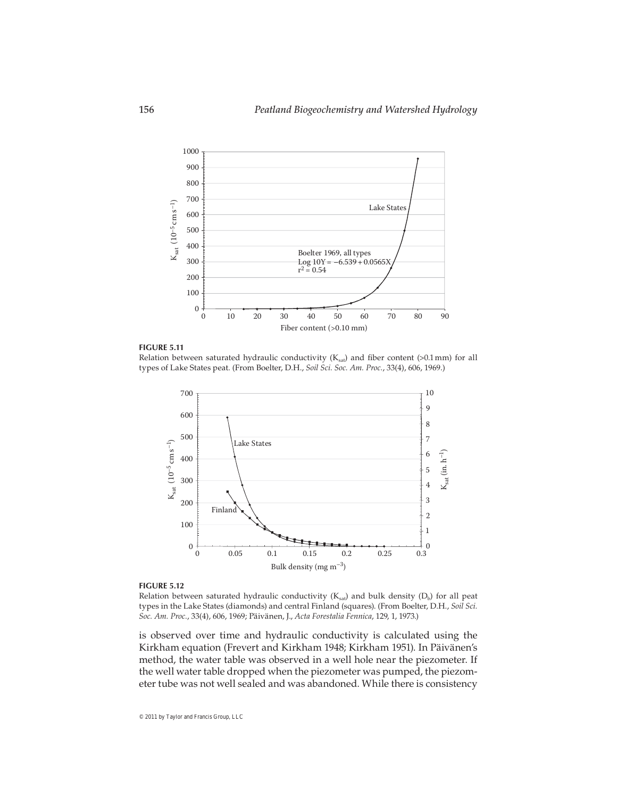

Relation between saturated hydraulic conductivity  $(K_{sat})$  and fiber content (>0.1 mm) for all types of Lake States peat. (From Boelter, D.H., *Soil Sci. Soc. Am. Proc.*, 33(4), 606, 1969.)



#### **FIGURE 5.12**

Relation between saturated hydraulic conductivity  $(K_{sat})$  and bulk density  $(D_b)$  for all peat types in the Lake States (diamonds) and central Finland (squares). (From Boelter, D.H., *Soil Sci. Soc. Am. Proc.*, 33(4), 606, 1969; Päivänen, J., *Acta Forestalia Fennica*, 129, 1, 1973.)

is observed over time and hydraulic conductivity is calculated using the Kirkham equation (Frevert and Kirkham 1948; Kirkham 1951). In Päivänen's method, the water table was observed in a well hole near the piezometer. If the well water table dropped when the piezometer was pumped, the piezometer tube was not well sealed and was abandoned. While there is consistency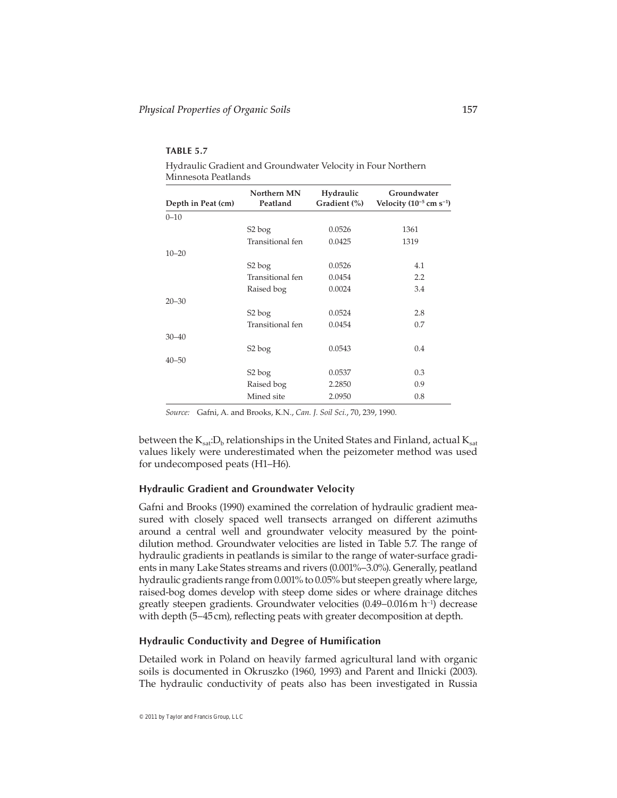## **TABLE 5.7**

| Hydraulic Gradient and Groundwater Velocity in Four Northern |  |
|--------------------------------------------------------------|--|
| Minnesota Peatlands                                          |  |

| Depth in Peat (cm) | Northern MN<br>Peatland | Hydraulic<br>Gradient (%) | Groundwater<br>Velocity $(10^{-5}$ cm s <sup>-1</sup> ) |
|--------------------|-------------------------|---------------------------|---------------------------------------------------------|
| $0 - 10$           |                         |                           |                                                         |
|                    | S <sub>2</sub> bog      | 0.0526                    | 1361                                                    |
|                    | Transitional fen        | 0.0425                    | 1319                                                    |
| $10 - 20$          |                         |                           |                                                         |
|                    | S <sub>2</sub> bog      | 0.0526                    | 4.1                                                     |
|                    | Transitional fen        | 0.0454                    | 2.2                                                     |
|                    | Raised bog              | 0.0024                    | 3.4                                                     |
| $20 - 30$          |                         |                           |                                                         |
|                    | S <sub>2</sub> bog      | 0.0524                    | 2.8                                                     |
|                    | Transitional fen        | 0.0454                    | 0.7                                                     |
| $30 - 40$          |                         |                           |                                                         |
|                    | S <sub>2</sub> bog      | 0.0543                    | 0.4                                                     |
| $40 - 50$          |                         |                           |                                                         |
|                    | S <sub>2</sub> bog      | 0.0537                    | 0.3                                                     |
|                    | Raised bog              | 2.2850                    | 0.9                                                     |
|                    | Mined site              | 2.0950                    | 0.8                                                     |

*Source:* Gafni, A. and Brooks, K.N., *Can. J. Soil Sci.*, 70, 239, 1990.

between the  $K_{sat}$ : $D_b$  relationships in the United States and Finland, actual  $K_{sat}$ values likely were underestimated when the peizometer method was used for undecomposed peats (H1–H6).

## **Hydraulic Gradient and Groundwater Velocity**

Gafni and Brooks (1990) examined the correlation of hydraulic gradient measured with closely spaced well transects arranged on different azimuths around a central well and groundwater velocity measured by the pointdilution method. Groundwater velocities are listed in Table 5.7. The range of hydraulic gradients in peatlands is similar to the range of water-surface gradients in many Lake States streams and rivers (0.001%–3.0%). Generally, peatland hydraulic gradients range from 0.001% to 0.05% but steepen greatly where large, raised-bog domes develop with steep dome sides or where drainage ditches greatly steepen gradients. Groundwater velocities (0.49–0.016 m h−1) decrease with depth (5–45 cm), reflecting peats with greater decomposition at depth.

#### **Hydraulic Conductivity and Degree of Humification**

Detailed work in Poland on heavily farmed agricultural land with organic soils is documented in Okruszko (1960, 1993) and Parent and Ilnicki (2003). The hydraulic conductivity of peats also has been investigated in Russia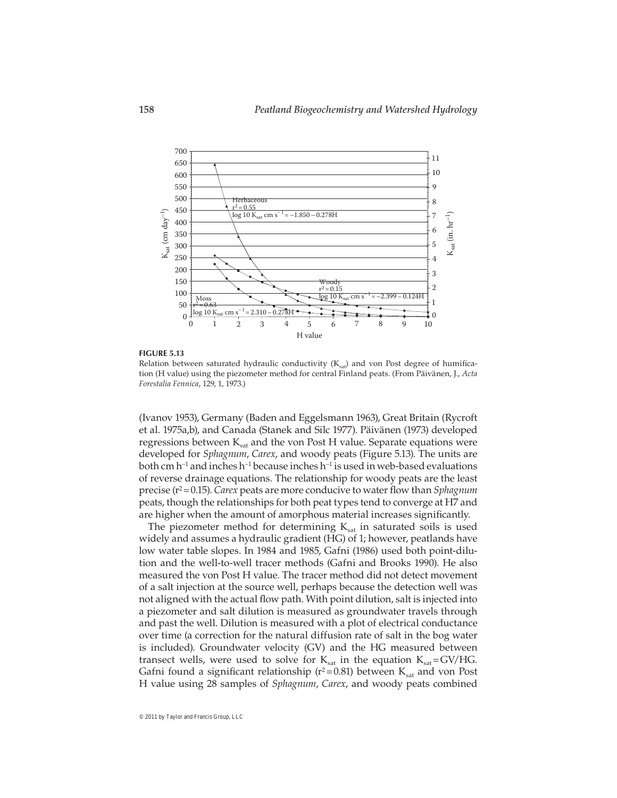

Relation between saturated hydraulic conductivity  $(K_{sat})$  and von Post degree of humification (H value) using the piezometer method for central Finland peats. (From Päivänen, J., *Acta Forestalia Fennica*, 129, 1, 1973.)

(Ivanov 1953), Germany (Baden and Eggelsmann 1963), Great Britain (Rycroft et al. 1975a,b), and Canada (Stanek and Silc 1977). Päivänen (1973) developed regressions between  $K_{sat}$  and the von Post H value. Separate equations were developed for *Sphagnum*, *Carex*, and woody peats (Figure 5.13). The units are both cm h−1 and inches h−1 because inches h−1 is used in web-based evaluations of reverse drainage equations. The relationship for woody peats are the least precise (r2 = 0.15). *Carex* peats are more conducive to water flow than *Sphagnum* peats, though the relationships for both peat types tend to converge at H7 and are higher when the amount of amorphous material increases significantly.

The piezometer method for determining  $K_{sat}$  in saturated soils is used widely and assumes a hydraulic gradient (HG) of 1; however, peatlands have low water table slopes. In 1984 and 1985, Gafni (1986) used both point-dilution and the well-to-well tracer methods (Gafni and Brooks 1990). He also measured the von Post H value. The tracer method did not detect movement of a salt injection at the source well, perhaps because the detection well was not aligned with the actual flow path. With point dilution, salt is injected into a piezometer and salt dilution is measured as groundwater travels through and past the well. Dilution is measured with a plot of electrical conductance over time (a correction for the natural diffusion rate of salt in the bog water is included). Groundwater velocity (GV) and the HG measured between transect wells, were used to solve for  $K_{sat}$  in the equation  $K_{sat} = GV/HG$ . Gafni found a significant relationship ( $r^2$ =0.81) between K<sub>sat</sub> and von Post H value using 28 samples of *Sphagnum*, *Carex*, and woody peats combined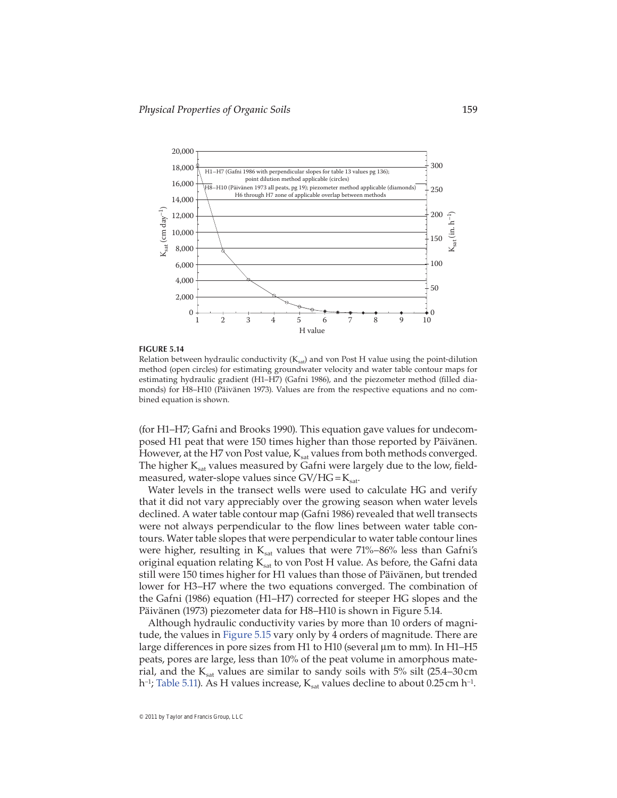

Relation between hydraulic conductivity  $(K_{sat})$  and von Post H value using the point-dilution method (open circles) for estimating groundwater velocity and water table contour maps for estimating hydraulic gradient (H1–H7) (Gafni 1986), and the piezometer method (filled diamonds) for H8–H10 (Päivänen 1973). Values are from the respective equations and no combined equation is shown.

(for H1–H7; Gafni and Brooks 1990). This equation gave values for undecomposed H1 peat that were 150 times higher than those reported by Päivänen. However, at the H7 von Post value,  $K_{sat}$  values from both methods converged. The higher  $K_{sat}$  values measured by Gafni were largely due to the low, fieldmeasured, water-slope values since  $\text{GV/HG}=\text{K}_{\text{sat}}$ .

Water levels in the transect wells were used to calculate HG and verify that it did not vary appreciably over the growing season when water levels declined. A water table contour map (Gafni 1986) revealed that well transects were not always perpendicular to the flow lines between water table contours. Water table slopes that were perpendicular to water table contour lines were higher, resulting in  $K_{sat}$  values that were 71%–86% less than Gafni's original equation relating  $K_{sat}$  to von Post H value. As before, the Gafni data still were 150 times higher for H1 values than those of Päivänen, but trended lower for H3–H7 where the two equations converged. The combination of the Gafni (1986) equation (H1–H7) corrected for steeper HG slopes and the Päivänen (1973) piezometer data for H8–H10 is shown in Figure 5.14.

Although hydraulic conductivity varies by more than 10 orders of magnitude, the values in Figure 5.15 vary only by 4 orders of magnitude. There are large differences in pore sizes from H1 to H10 (several μm to mm). In H1–H5 peats, pores are large, less than 10% of the peat volume in amorphous material, and the  $K_{sat}$  values are similar to sandy soils with 5% silt (25.4–30 cm h<sup>-1</sup>; Table 5.11). As H values increase, K<sub>sat</sub> values decline to about 0.25 cm h<sup>-1</sup>.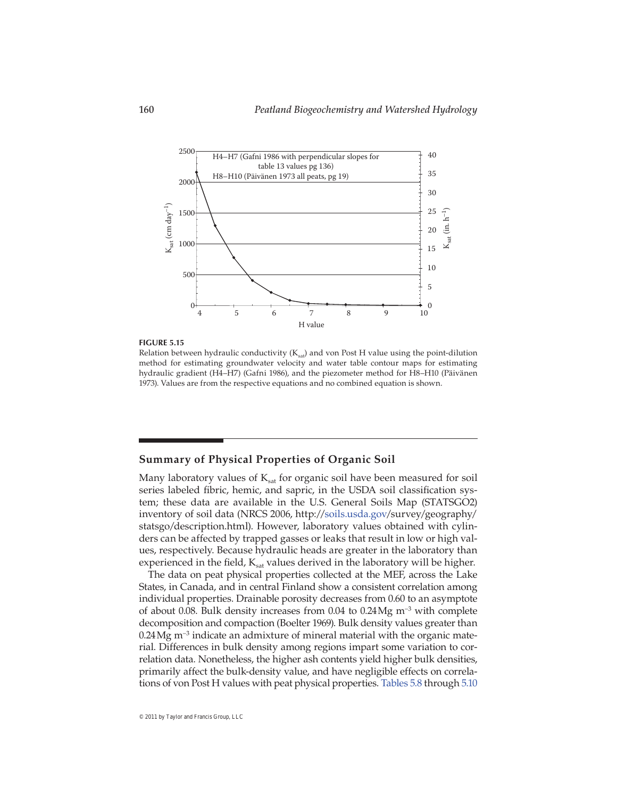

Relation between hydraulic conductivity  $(K_{sat})$  and von Post H value using the point-dilution method for estimating groundwater velocity and water table contour maps for estimating hydraulic gradient (H4–H7) (Gafni 1986), and the piezometer method for H8–H10 (Päivänen 1973). Values are from the respective equations and no combined equation is shown.

# **Summary of Physical Properties of Organic Soil**

Many laboratory values of  $K_{sat}$  for organic soil have been measured for soil series labeled fibric, hemic, and sapric, in the USDA soil classification system; these data are available in the U.S. General Soils Map (STATSGO2) inventory of soil data (NRCS 2006, http://soils.usda.gov/survey/geography/ statsgo/description.html). However, laboratory values obtained with cylinders can be affected by trapped gasses or leaks that result in low or high values, respectively. Because hydraulic heads are greater in the laboratory than experienced in the field,  $K_{\text{sat}}$  values derived in the laboratory will be higher.

The data on peat physical properties collected at the MEF, across the Lake States, in Canada, and in central Finland show a consistent correlation among individual properties. Drainable porosity decreases from 0.60 to an asymptote of about 0.08. Bulk density increases from 0.04 to 0.24 Mg m−3 with complete decomposition and compaction (Boelter 1969). Bulk density values greater than 0.24 Mg m−3 indicate an admixture of mineral material with the organic material. Differences in bulk density among regions impart some variation to correlation data. Nonetheless, the higher ash contents yield higher bulk densities, primarily affect the bulk-density value, and have negligible effects on correlations of von Post H values with peat physical properties. Tables 5.8 through 5.10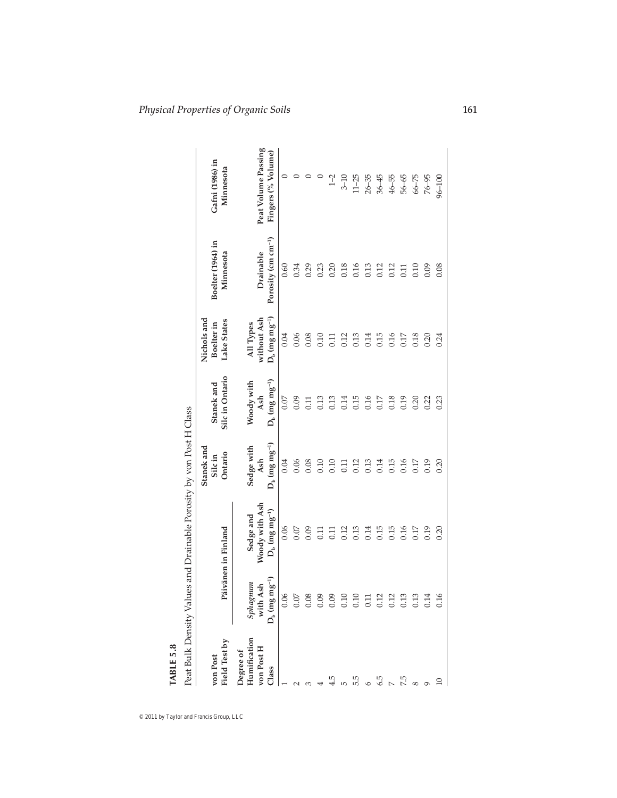| <b>TABLE 5.8</b>                                 |                                                       |                                                                     |                                                   |                                                   |                                                          |                                              |                                           |
|--------------------------------------------------|-------------------------------------------------------|---------------------------------------------------------------------|---------------------------------------------------|---------------------------------------------------|----------------------------------------------------------|----------------------------------------------|-------------------------------------------|
|                                                  |                                                       | Peat Bulk Density Values and Drainable Porosity by von Post H Class |                                                   |                                                   |                                                          |                                              |                                           |
| Field Test by<br>on Post                         |                                                       | Päivänen in Finland                                                 | Stanek and<br>Ontario<br>Silc in                  | Silc in Ontario<br>Stanek and                     | Nichols and<br>Lake States<br>Boelter in                 | Boelter (1964) in<br>Minnesota               | Gafni (1986) in<br>Minnesota              |
| Degree of<br>Humification<br>von Post H<br>Class | $\rm{~m g^{-1}}$<br>Sphagnum<br>with Ash<br>$D_b$ (mg | Woody with Ash<br>$D_b$ (mg mg $^{-1}$ )<br>Sedge and               | $D_b$ (mg mg <sup>-1</sup> )<br>Sedge with<br>Ash | $D_b$ (mg mg <sup>-1</sup> )<br>Woody with<br>Ash | $D_b$ (mg mg <sup>-1</sup> )<br>without Ash<br>All Types | Porosity (cm cm <sup>-1</sup> )<br>Drainable | Peat Volume Passing<br>Fingers (% Volume) |
|                                                  | 0.06                                                  | 0.06                                                                | 0.04                                              | 0.07                                              | 0.04                                                     | 0.60                                         |                                           |
|                                                  |                                                       | 0.07                                                                | 0.06                                              | 0.09                                              | 0.06                                                     | 0.34                                         |                                           |
|                                                  | $0.07$<br>$0.08$<br>$0.09$                            | 0.09                                                                | 0.08                                              | 0.11                                              | 0.08                                                     | 0.29                                         | ○                                         |
|                                                  |                                                       | 0.11                                                                | 0.10                                              | 0.13                                              | 0.10                                                     | 0.23                                         |                                           |
|                                                  | 0.09                                                  | 0.11                                                                | 0.10                                              | 0.13                                              | 0.11                                                     | 0.20                                         | $1 - 2$                                   |
|                                                  |                                                       | 0.12                                                                | 0.11                                              | 0.14                                              | 0.12                                                     | 0.18                                         | $3 - 10$                                  |
|                                                  | $\begin{array}{c} 0.10 \\ 0.10 \end{array}$           | 0.13                                                                | 0.12                                              | 0.15                                              | 0.13                                                     | 0.16                                         | $11 - 25$                                 |
|                                                  |                                                       | 0.14                                                                | 0.13                                              | 0.16                                              | 0.14                                                     | 0.13                                         | $26 - 35$                                 |
|                                                  |                                                       | 0.15                                                                | 0.14                                              | 0.17                                              | 0.15                                                     | 0.12                                         | $36 - 45$                                 |
|                                                  | 5555                                                  | 0.15                                                                | 0.15                                              | 0.18                                              | 0.16                                                     | 0.12                                         | $46 - 55$                                 |
| 7.5                                              |                                                       | 0.16                                                                | 0.16                                              | 0.19                                              | 0.17                                                     | 0.11                                         | 56–65                                     |
|                                                  | $\overline{0}$ . $\overline{1}$                       | 0.17                                                                | 0.17                                              | 0.20                                              | 0.18                                                     | 0.10                                         | $66 - 75$                                 |
|                                                  |                                                       | 0.19                                                                | 0.19                                              | 0.22                                              | 0.20                                                     | 0.09                                         | 76-95                                     |
|                                                  | $\overline{0}$ .                                      | 0.20                                                                | 0.20                                              | 0.23                                              | 0.24                                                     | 0.08                                         | $96 - 100$                                |

# *Physical Properties of Organic Soils* **161**

© 2011 by Taylor and Francis Group, LLC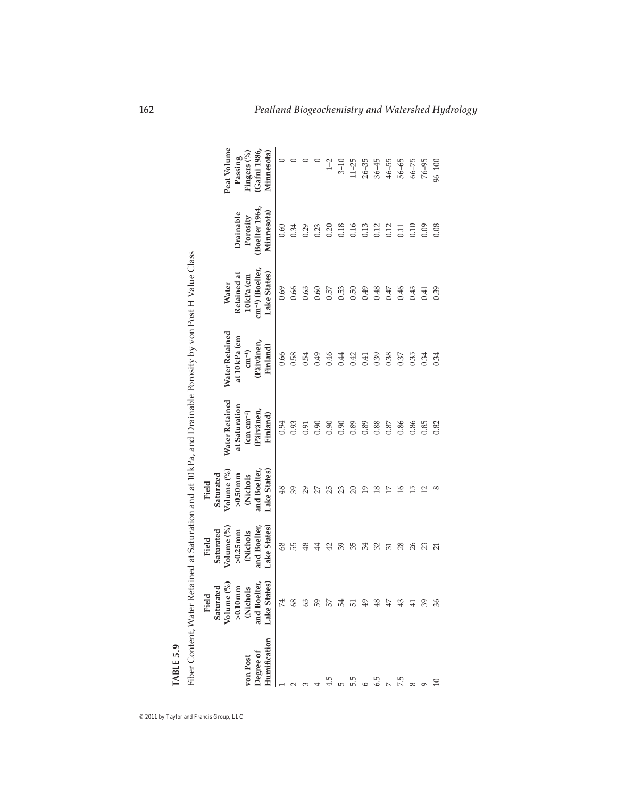| TABLE 5.9             |                               |                          |                          |                                                                                                             |                                 |                                           |                            |                            |
|-----------------------|-------------------------------|--------------------------|--------------------------|-------------------------------------------------------------------------------------------------------------|---------------------------------|-------------------------------------------|----------------------------|----------------------------|
|                       |                               |                          |                          | Fiber Content, Water Retained at Saturation and at 10 kPa, and Drainable Porosity by von Post H Value Class |                                 |                                           |                            |                            |
|                       | Saturated<br>Field            | Saturated<br>Field       | Saturated<br>Field       |                                                                                                             |                                 |                                           |                            |                            |
|                       | Volume (%)<br>$>0.10$ mm      | Volume (%)<br>$>0.25$ mm | Volume (%)<br>$>0.50$ mm | Water Retained<br>at Saturation                                                                             | Water Retained<br>at 10 kPa (cm | Retained at<br>Water                      | Drainable                  | Peat Volume<br>Passing     |
| Degree of<br>von Post | and Boelter,<br>(Nichols      | and Boelter,<br>(Nichols | and Boelter<br>(Nichols  | (Päivänen,<br>$\left(\text{cm}\ \text{cm}^{-1}\right)$                                                      | (Päivänen,<br>$cm^{-1}$         | cm <sup>-1</sup> ) (Boelter,<br>10kPa (cm | (Boelter 1964,<br>Porosity | (Gafni 1986<br>Fingers (%) |
| Humification          | Lake States)                  | Lake States)<br>89       | Lake States)<br>48       | Finland)                                                                                                    | Finland)                        | Lake States)                              | Minnesota)                 | Minnesota)                 |
|                       | $\,$ $\!$ $\!$ $\!$ $\!$ $\!$ |                          |                          | 0.94                                                                                                        | 0.66                            | 0.69                                      | 0.60                       |                            |
|                       | $68\,$                        | 55                       | 39                       | 0.93                                                                                                        | 0.58                            | 0.66                                      | 0.34                       |                            |
|                       | $63$                          | $\frac{8}{3}$            |                          | 0.91                                                                                                        | 0.54                            | 0.63                                      | 0.29                       |                            |
|                       | 59                            | \$                       |                          | 0.90                                                                                                        | 0.49                            | 0.60                                      | 0.23                       |                            |
|                       | 57                            | $\overline{4}$           | 25                       | 0.90                                                                                                        | 0.46                            | 0.57                                      | 0.20                       | $1 - 2$                    |
|                       | 54                            | 39                       |                          | 0.90                                                                                                        | 0.44                            | 0.53                                      | 0.18                       | $3 - 10$                   |
|                       | $\overline{51}$               | 35                       |                          | 0.89                                                                                                        | 0.42                            | 0.50                                      | 0.16                       | $11 - 25$                  |
|                       | $49$                          | 34                       | 19                       | 0.89                                                                                                        | 0.41                            | 0.49                                      | 0.13                       | $26 - 35$                  |
| 6.5                   | $48$                          | 32                       | $^{18}$                  | 0.88                                                                                                        | 0.39                            | 0.48                                      | 0.12                       | $36 - 45$                  |
|                       | $47\,$                        | 31                       | L)                       | 0.87                                                                                                        | 0.38                            | 0.47                                      | 0.12                       | $46 - 55$                  |
| 7.5                   | 43                            | 28                       | $\frac{6}{2}$            | 0.86                                                                                                        | 0.37                            | 0.46                                      | 0.11                       | 56–65                      |
| 8                     | $\overline{41}$               | 26                       | ⊵                        | 0.86                                                                                                        | 0.35                            | 0.43                                      | 0.10                       | 66-75                      |
|                       | 39                            | R                        |                          | 0.85                                                                                                        | 0.34                            | 0.41                                      | 0.09                       | 76-95                      |
|                       | 36                            | ត                        | $^{\circ}$               | 0.82                                                                                                        | 0.34                            | 0.39                                      | 0.08                       | $96 - 100$                 |

© 2011 by Taylor and Francis Group, LLC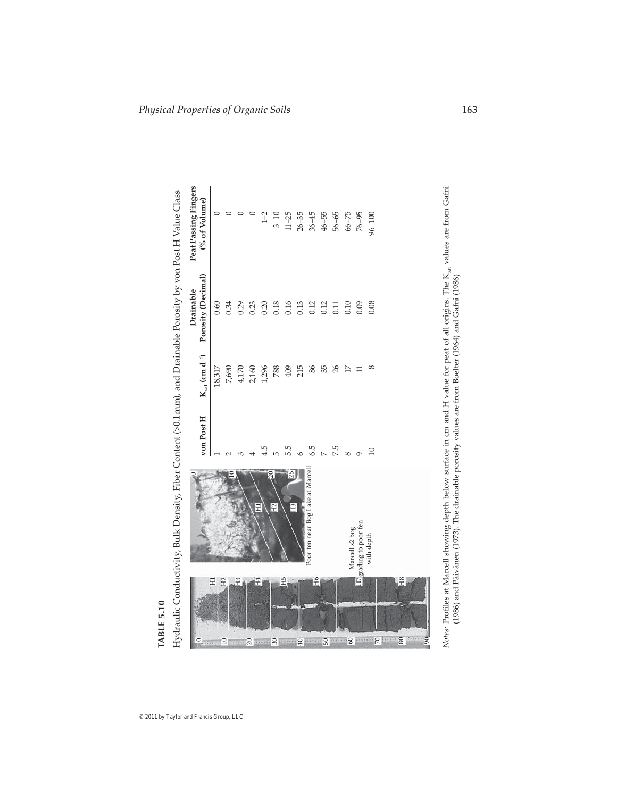|                                                     | von Post H    | $K_{sat}$ (cm d <sup>-1</sup> ) | Porosity (Decimal)<br>Drainable | Peat Passing Fingers<br>(% of Volume) |
|-----------------------------------------------------|---------------|---------------------------------|---------------------------------|---------------------------------------|
| Ξ                                                   |               | 18,317                          | 0.60                            |                                       |
| H <sub>2</sub>                                      |               | 7,690                           | 0.34                            |                                       |
| H <sub>3</sub>                                      |               | 4,170                           | 0.29                            |                                       |
| EH.                                                 |               | 2,160                           | 0.23                            |                                       |
| $\Xi$                                               | $\frac{1}{4}$ | 1,296                           | 0.20                            | $1 - 2$                               |
| $\overline{20}$<br>$\mathbf{E}$                     |               | 788                             | 0.18                            | $3 - 10$                              |
| $\overline{25}$<br>H <sub>5</sub>                   | 5.5           | 409                             | 0.16                            | $11 - 25$                             |
| $\mathbf{B}$                                        |               | 215                             | 0.13                            | $26 - 35$                             |
| Poor fen near Bog Lake at Marcell<br>H <sub>6</sub> | 6.5           | 86                              | 0.12                            | $36 - 45$                             |
|                                                     |               | 55                              | 0.12                            | $46 - 55$                             |
|                                                     | 7.5           | 26                              | 0.11                            | 56–65                                 |
| Marcell s2 bog                                      | $\infty$      | 17                              | 0.10                            | $66 - 75$                             |
| $\overline{\mathrm{HT}}$ grading to poor fen        |               |                                 | 0.09                            | $76 - 95$                             |
| with depth                                          | 10            | 8                               | 0.08                            | $96 - 100$                            |
| H <sub>8</sub>                                      |               |                                 |                                 |                                       |
|                                                     |               |                                 |                                 |                                       |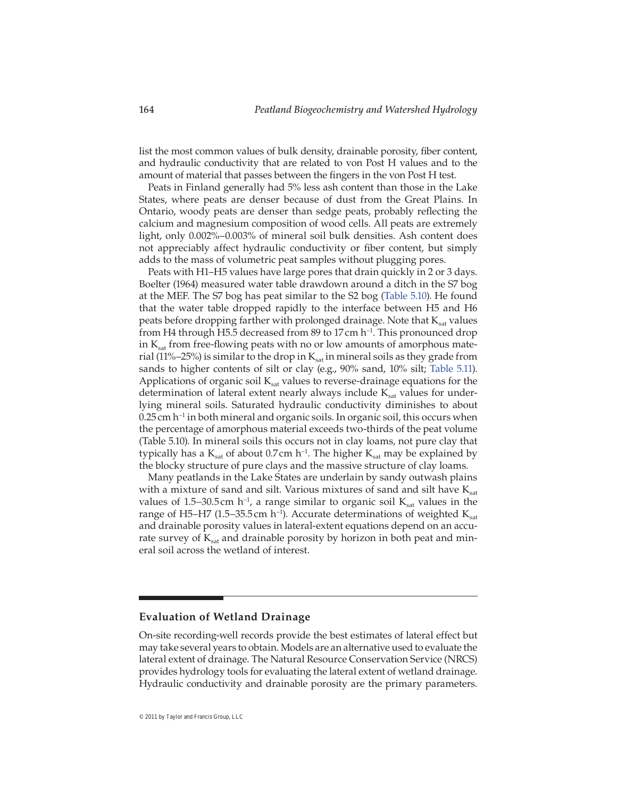list the most common values of bulk density, drainable porosity, fiber content, and hydraulic conductivity that are related to von Post H values and to the amount of material that passes between the fingers in the von Post H test.

Peats in Finland generally had 5% less ash content than those in the Lake States, where peats are denser because of dust from the Great Plains. In Ontario, woody peats are denser than sedge peats, probably reflecting the calcium and magnesium composition of wood cells. All peats are extremely light, only 0.002%–0.003% of mineral soil bulk densities. Ash content does not appreciably affect hydraulic conductivity or fiber content, but simply adds to the mass of volumetric peat samples without plugging pores.

Peats with H1–H5 values have large pores that drain quickly in 2 or 3 days. Boelter (1964) measured water table drawdown around a ditch in the S7 bog at the MEF. The S7 bog has peat similar to the S2 bog (Table 5.10). He found that the water table dropped rapidly to the interface between H5 and H6 peats before dropping farther with prolonged drainage. Note that  $K_{sat}$  values from H4 through H5.5 decreased from 89 to 17 cm h−1. This pronounced drop in  $K_{est}$  from free-flowing peats with no or low amounts of amorphous material (11%–25%) is similar to the drop in  $K_{sat}$  in mineral soils as they grade from sands to higher contents of silt or clay (e.g., 90% sand, 10% silt; Table 5.11). Applications of organic soil  $K_{sat}$  values to reverse-drainage equations for the determination of lateral extent nearly always include  $K_{sat}$  values for underlying mineral soils. Saturated hydraulic conductivity diminishes to about 0.25 cm h−1 in both mineral and organic soils. In organic soil, this occurs when the percentage of amorphous material exceeds two-thirds of the peat volume (Table 5.10). In mineral soils this occurs not in clay loams, not pure clay that typically has a K<sub>sat</sub> of about 0.7 cm h<sup>-1</sup>. The higher K<sub>sat</sub> may be explained by the blocky structure of pure clays and the massive structure of clay loams.

Many peatlands in the Lake States are underlain by sandy outwash plains with a mixture of sand and silt. Various mixtures of sand and silt have  $K_{sat}$ values of 1.5–30.5 cm h<sup>-1</sup>, a range similar to organic soil  $K_{sat}$  values in the range of H5–H7 (1.5–35.5 cm h<sup>-1</sup>). Accurate determinations of weighted  $K_{sat}$ and drainable porosity values in lateral-extent equations depend on an accurate survey of  $K_{sat}$  and drainable porosity by horizon in both peat and mineral soil across the wetland of interest.

#### **Evaluation of Wetland Drainage**

On-site recording-well records provide the best estimates of lateral effect but may take several years to obtain. Models are an alternative used to evaluate the lateral extent of drainage. The Natural Resource Conservation Service (NRCS) provides hydrology tools for evaluating the lateral extent of wetland drainage. Hydraulic conductivity and drainable porosity are the primary parameters.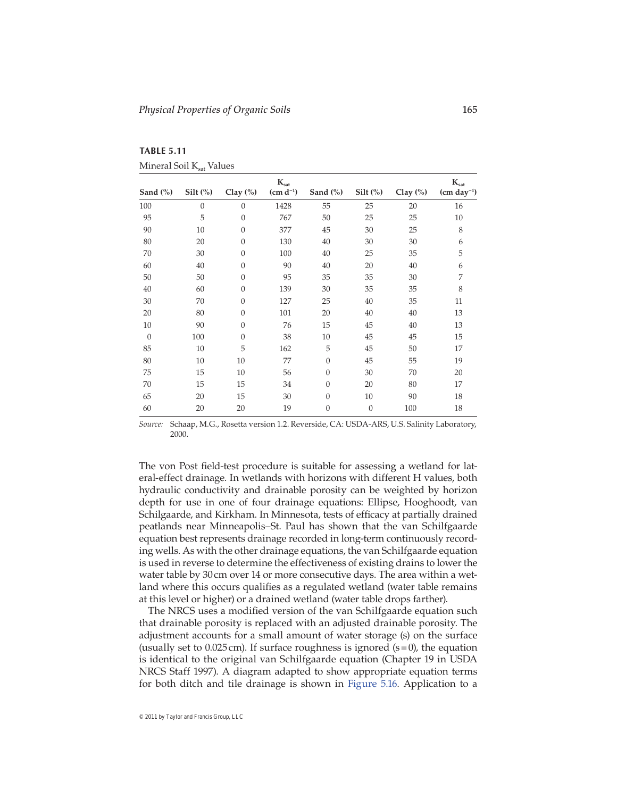| Sand $(\%)$    | $Silt$ $(\%)$  | Clay $(\% )$ | $\mathbf{K}_{\text{sat}}$<br>$(cm d^{-1})$ | Sand $(\%)$    | $Silt$ $(\%)$ | Clay $(\%)$ | $K_{\text{sat}}$<br>$(cm day-1)$ |
|----------------|----------------|--------------|--------------------------------------------|----------------|---------------|-------------|----------------------------------|
| 100            | $\overline{0}$ | $\theta$     | 1428                                       | 55             | 25            | 20          | 16                               |
| 95             | 5              | $\theta$     | 767                                        | 50             | 25            | 25          | 10                               |
| 90             | 10             | $\Omega$     | 377                                        | 45             | 30            | 25          | 8                                |
| 80             | 20             | $\Omega$     | 130                                        | 40             | 30            | 30          | 6                                |
| 70             | 30             | $\Omega$     | 100                                        | 40             | 25            | 35          | 5                                |
| 60             | 40             | $\theta$     | 90                                         | 40             | 20            | 40          | 6                                |
| 50             | 50             | $\theta$     | 95                                         | 35             | 35            | 30          | 7                                |
| 40             | 60             | $\Omega$     | 139                                        | 30             | 35            | 35          | 8                                |
| 30             | 70             | $\theta$     | 127                                        | 25             | 40            | 35          | 11                               |
| 20             | 80             | $\theta$     | 101                                        | 20             | 40            | 40          | 13                               |
| 10             | 90             | $\Omega$     | 76                                         | 15             | 45            | 40          | 13                               |
| $\overline{0}$ | 100            | $\Omega$     | 38                                         | 10             | 45            | 45          | 15                               |
| 85             | 10             | 5            | 162                                        | 5              | 45            | 50          | 17                               |
| 80             | 10             | 10           | 77                                         | $\theta$       | 45            | 55          | 19                               |
| 75             | 15             | 10           | 56                                         | $\overline{0}$ | 30            | 70          | 20                               |
| 70             | 15             | 15           | 34                                         | $\mathbf{0}$   | 20            | 80          | 17                               |
| 65             | 20             | 15           | 30                                         | $\mathbf{0}$   | 10            | 90          | 18                               |
| 60             | 20             | 20           | 19                                         | $\mathbf{0}$   | $\mathbf{0}$  | 100         | 18                               |

**TABLE 5.11** Mineral Soil K<sub>sat</sub> Values

*Source:* Schaap, M.G., Rosetta version 1.2. Reverside, CA: USDA-ARS, U.S. Salinity Laboratory, 2000.

The von Post field-test procedure is suitable for assessing a wetland for lateral-effect drainage. In wetlands with horizons with different H values, both hydraulic conductivity and drainable porosity can be weighted by horizon depth for use in one of four drainage equations: Ellipse, Hooghoodt, van Schilgaarde, and Kirkham. In Minnesota, tests of efficacy at partially drained peatlands near Minneapolis–St. Paul has shown that the van Schilfgaarde equation best represents drainage recorded in long-term continuously recording wells. As with the other drainage equations, the van Schilfgaarde equation is used in reverse to determine the effectiveness of existing drains to lower the water table by 30 cm over 14 or more consecutive days. The area within a wetland where this occurs qualifies as a regulated wetland (water table remains at this level or higher) or a drained wetland (water table drops farther).

The NRCS uses a modified version of the van Schilfgaarde equation such that drainable porosity is replaced with an adjusted drainable porosity. The adjustment accounts for a small amount of water storage (s) on the surface (usually set to  $0.025$  cm). If surface roughness is ignored (s=0), the equation is identical to the original van Schilfgaarde equation (Chapter 19 in USDA NRCS Staff 1997). A diagram adapted to show appropriate equation terms for both ditch and tile drainage is shown in Figure 5.16. Application to a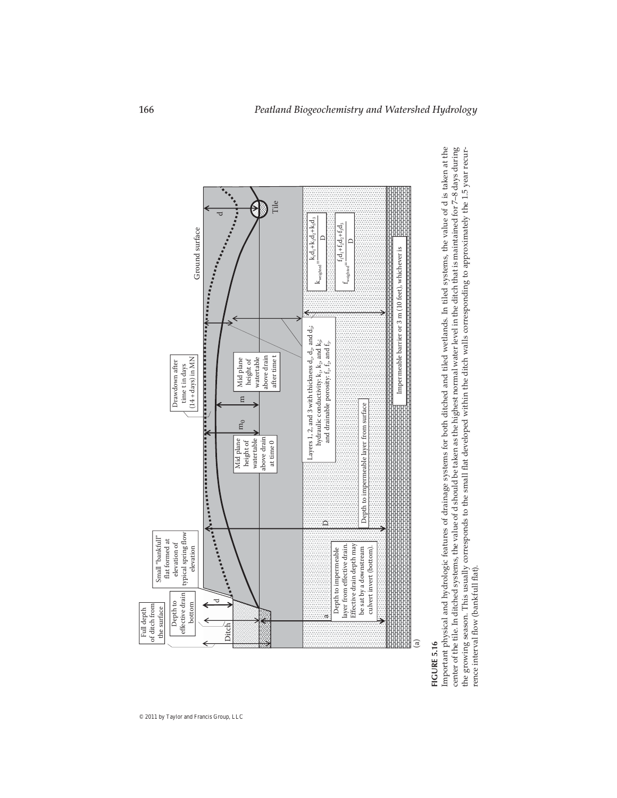

© 2011 by Taylor and Francis Group, LLC



Important physical and hydrologic features of drainage systems for both ditched and tiled wetlands. In tiled systems, the value of d is taken at the Important physical and hydrologic features of drainage systems for both ditched and tiled wetlands. In tiled systems, the value of d is taken at the center of the tile. In ditched systems, the value of d should be taken as the highest normal water level in the ditch that is maintained for 7–8 days during center of the tile. In ditched systems, the value of d should be taken as the highest normal water level in the ditch that is maintained for 7-8 days during the growing season. This usually corresponds to the small flat developed within the ditch walls corresponding to approximately the 1.5 year recurthe growing season. This usually corresponds to the small flat developed within the ditch walls corresponding to approximately the 1.5 year recurrence interval flow (bankfull flat). rence interval flow (bankfull flat).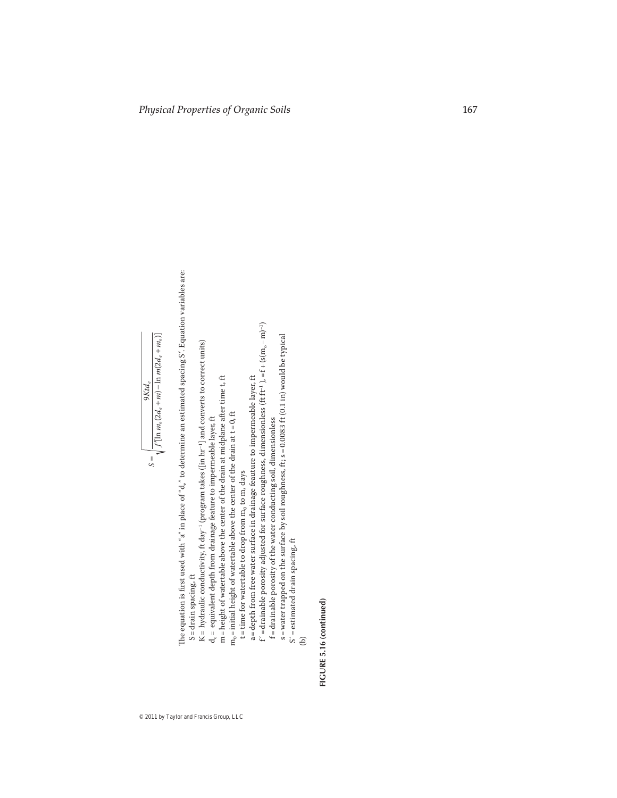

The equation is first used with "a" in place of "d<sub>e"</sub> to determine an estimated spacing S'. Equation variables are:<br>
S = drain spacing, ft<br>
S = drain spacing, ft<br>
K = hydraulic conductivity, ft day<sup>-(</sup> (program takes ([i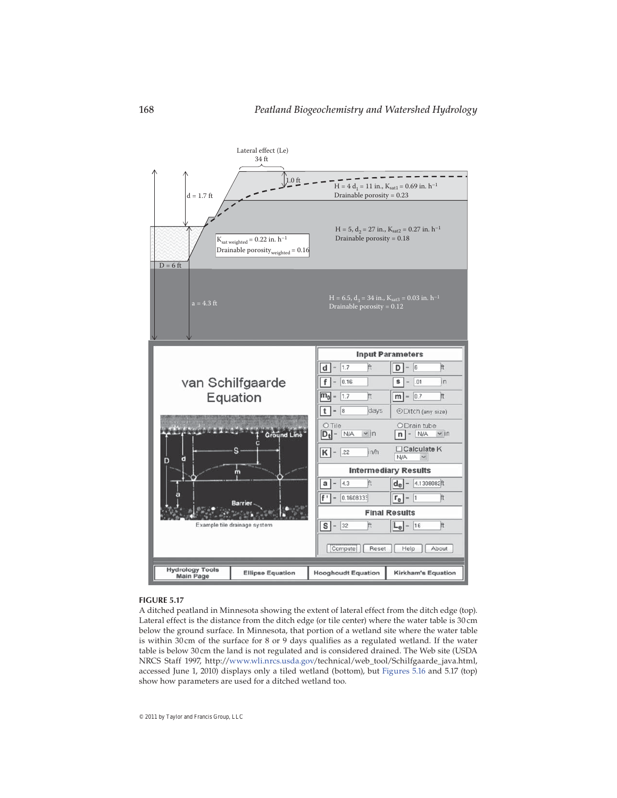

A ditched peatland in Minnesota showing the extent of lateral effect from the ditch edge (top). Lateral effect is the distance from the ditch edge (or tile center) where the water table is 30 cm below the ground surface. In Minnesota, that portion of a wetland site where the water table is within 30 cm of the surface for 8 or 9 days qualifies as a regulated wetland. If the water table is below 30 cm the land is not regulated and is considered drained. The Web site (USDA NRCS Staff 1997, http://www.wli.nrcs.usda.gov/technical/web\_tool/Schilfgaarde\_java.html, accessed June 1, 2010) displays only a tiled wetland (bottom), but Figures 5.16 and 5.17 (top) show how parameters are used for a ditched wetland too.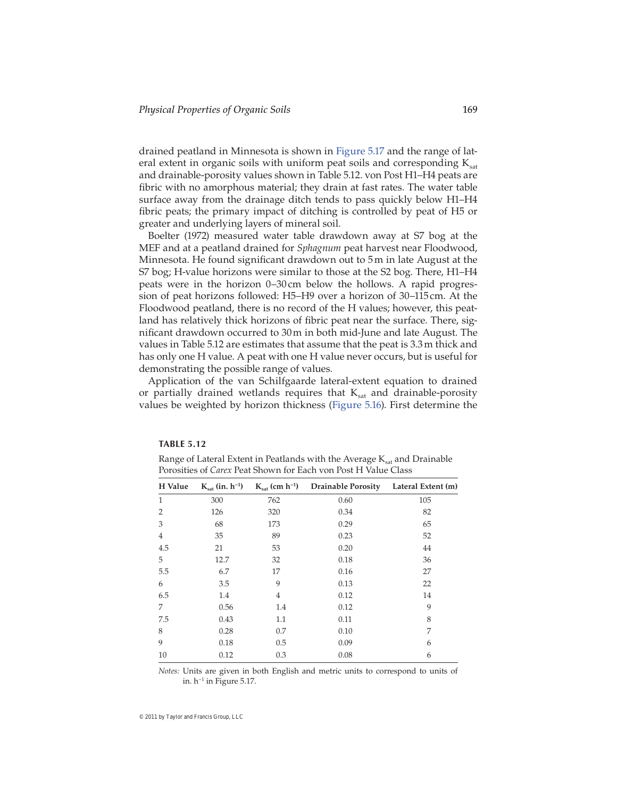drained peatland in Minnesota is shown in Figure 5.17 and the range of lateral extent in organic soils with uniform peat soils and corresponding  $K_{sat}$ and drainable-porosity values shown in Table 5.12. von Post H1–H4 peats are fibric with no amorphous material; they drain at fast rates. The water table surface away from the drainage ditch tends to pass quickly below H1–H4 fibric peats; the primary impact of ditching is controlled by peat of H5 or greater and underlying layers of mineral soil.

Boelter (1972) measured water table drawdown away at S7 bog at the MEF and at a peatland drained for *Sphagnum* peat harvest near Floodwood, Minnesota. He found significant drawdown out to 5 m in late August at the S7 bog; H-value horizons were similar to those at the S2 bog. There, H1–H4 peats were in the horizon 0–30 cm below the hollows. A rapid progression of peat horizons followed: H5–H9 over a horizon of 30–115 cm. At the Floodwood peatland, there is no record of the H values; however, this peatland has relatively thick horizons of fibric peat near the surface. There, significant drawdown occurred to 30 m in both mid-June and late August. The values in Table 5.12 are estimates that assume that the peat is 3.3 m thick and has only one H value. A peat with one H value never occurs, but is useful for demonstrating the possible range of values.

Application of the van Schilfgaarde lateral-extent equation to drained or partially drained wetlands requires that  $K_{sat}$  and drainable-porosity values be weighted by horizon thickness (Figure 5.16). First determine the

#### **TABLE 5.12**

Range of Lateral Extent in Peatlands with the Average  $K_{sat}$  and Drainable Porosities of *Carex* Peat Shown for Each von Post H Value Class

| H Value        | $K_{sat}$ (in. h <sup>-1</sup> ) |                | $K_{sat}$ (cm h <sup>-1</sup> ) Drainable Porosity | Lateral Extent (m) |
|----------------|----------------------------------|----------------|----------------------------------------------------|--------------------|
| 1              | 300                              | 762            | 0.60                                               | 105                |
| $\overline{2}$ | 126                              | 320            | 0.34                                               | 82                 |
| 3              | 68                               | 173            | 0.29                                               | 65                 |
| 4              | 35                               | 89             | 0.23                                               | 52                 |
| 4.5            | 21                               | 53             | 0.20                                               | 44                 |
| 5              | 12.7                             | 32             | 0.18                                               | 36                 |
| 5.5            | 6.7                              | 17             | 0.16                                               | 27                 |
| 6              | 3.5                              | 9              | 0.13                                               | 22                 |
| 6.5            | 1.4                              | $\overline{4}$ | 0.12                                               | 14                 |
| 7              | 0.56                             | 1.4            | 0.12                                               | 9                  |
| 7.5            | 0.43                             | 1.1            | 0.11                                               | 8                  |
| 8              | 0.28                             | 0.7            | 0.10                                               | 7                  |
| 9              | 0.18                             | 0.5            | 0.09                                               | 6                  |
| 10             | 0.12                             | 0.3            | 0.08                                               | 6                  |

*Notes:* Units are given in both English and metric units to correspond to units of in. h−1 in Figure 5.17.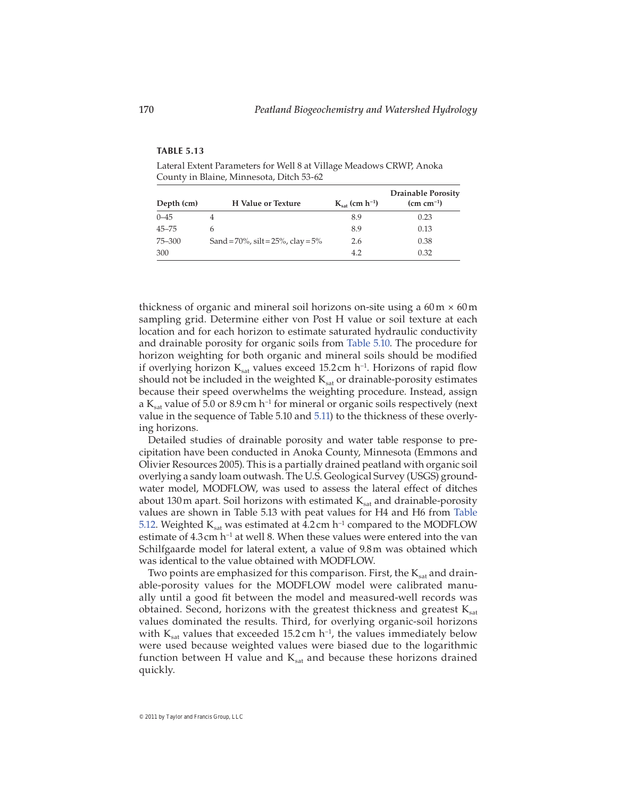#### **TABLE 5.13**

Lateral Extent Parameters for Well 8 at Village Meadows CRWP, Anoka County in Blaine, Minnesota, Ditch 53-62

| Depth (cm) | <b>H</b> Value or Texture                    | $K_{\rm sat}$ (cm h <sup>-1</sup> ) | <b>Drainable Porosity</b><br>$\rm (cm~cm^{-1})$ |
|------------|----------------------------------------------|-------------------------------------|-------------------------------------------------|
| $0 - 45$   |                                              | 8.9                                 | 0.23                                            |
| $45 - 75$  |                                              | 8.9                                 | 0.13                                            |
| 75–300     | Sand = $70\%$ , silt = $25\%$ , clay = $5\%$ | 2.6                                 | 0.38                                            |
| 300        |                                              | 4.2                                 | 0.32                                            |

thickness of organic and mineral soil horizons on-site using a  $60 \text{ m} \times 60 \text{ m}$ sampling grid. Determine either von Post H value or soil texture at each location and for each horizon to estimate saturated hydraulic conductivity and drainable porosity for organic soils from Table 5.10. The procedure for horizon weighting for both organic and mineral soils should be modified if overlying horizon  $K_{sat}$  values exceed 15.2 cm h<sup>-1</sup>. Horizons of rapid flow should not be included in the weighted  $K_{sat}$  or drainable-porosity estimates because their speed overwhelms the weighting procedure. Instead, assign a K<sub>sat</sub> value of 5.0 or 8.9 cm h<sup>-1</sup> for mineral or organic soils respectively (next value in the sequence of Table 5.10 and 5.11) to the thickness of these overlying horizons.

Detailed studies of drainable porosity and water table response to precipitation have been conducted in Anoka County, Minnesota (Emmons and Olivier Resources 2005). This is a partially drained peatland with organic soil overlying a sandy loam outwash. The U.S. Geological Survey (USGS) groundwater model, MODFLOW, was used to assess the lateral effect of ditches about 130 m apart. Soil horizons with estimated  $K_{sat}$  and drainable-porosity values are shown in Table 5.13 with peat values for H4 and H6 from Table 5.12. Weighted  $K_{sat}$  was estimated at 4.2 cm h<sup>-1</sup> compared to the MODFLOW estimate of 4.3 cm h<sup>-1</sup> at well 8. When these values were entered into the van Schilfgaarde model for lateral extent, a value of 9.8 m was obtained which was identical to the value obtained with MODFLOW.

Two points are emphasized for this comparison. First, the  $K_{sat}$  and drainable-porosity values for the MODFLOW model were calibrated manually until a good fit between the model and measured-well records was obtained. Second, horizons with the greatest thickness and greatest  $K_{sat}$ values dominated the results. Third, for overlying organic-soil horizons with  $K_{sat}$  values that exceeded 15.2 cm h<sup>-1</sup>, the values immediately below were used because weighted values were biased due to the logarithmic function between H value and  $K_{sat}$  and because these horizons drained quickly.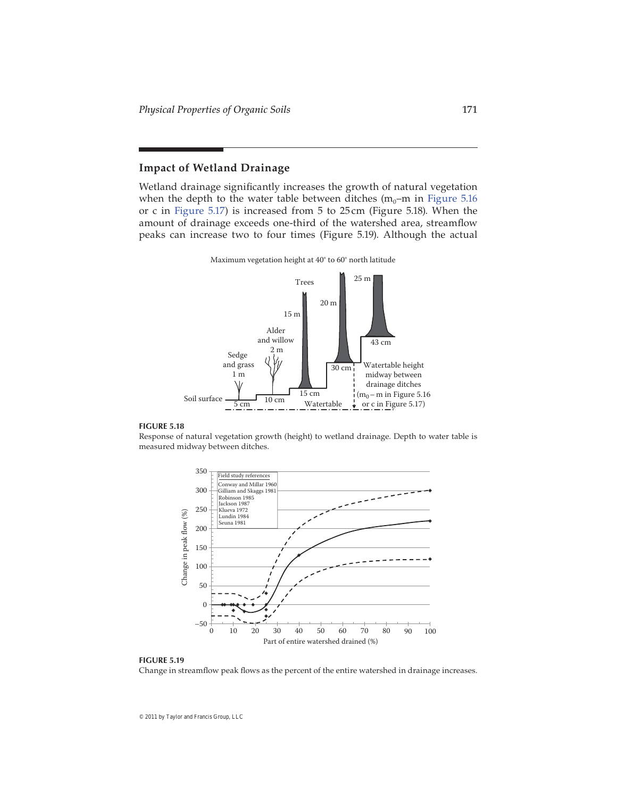# **Impact of Wetland Drainage**

Wetland drainage significantly increases the growth of natural vegetation when the depth to the water table between ditches  $(m_0-m$  in Figure 5.16 or c in Figure 5.17) is increased from 5 to 25 cm (Figure 5.18). When the amount of drainage exceeds one-third of the watershed area, streamflow peaks can increase two to four times (Figure 5.19). Although the actual

Maximum vegetation height at 40° to 60° north latitude



### **FIGURE 5.18**

Response of natural vegetation growth (height) to wetland drainage. Depth to water table is measured midway between ditches.





Change in streamflow peak flows as the percent of the entire watershed in drainage increases.

© 2011 by Taylor and Francis Group, LLC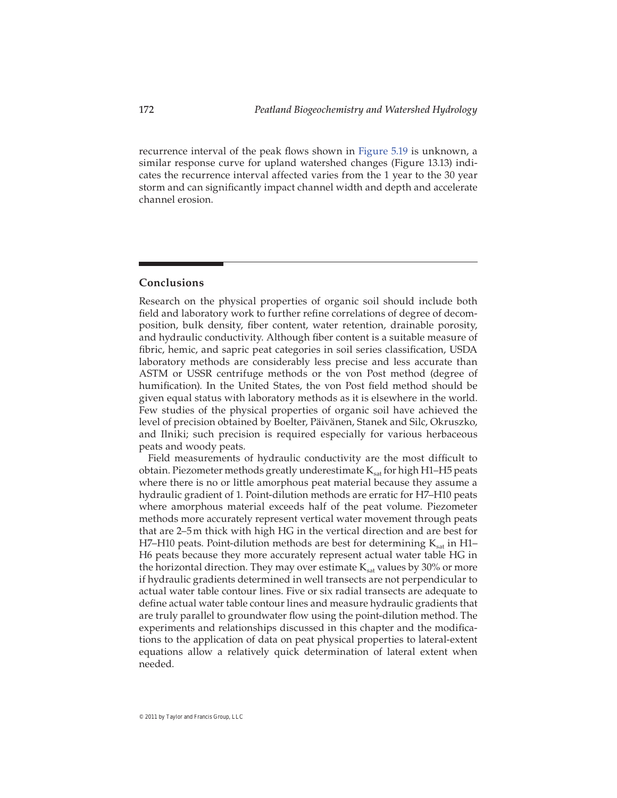recurrence interval of the peak flows shown in Figure 5.19 is unknown, a similar response curve for upland watershed changes (Figure 13.13) indicates the recurrence interval affected varies from the 1 year to the 30 year storm and can significantly impact channel width and depth and accelerate channel erosion.

# **Conclusions**

Research on the physical properties of organic soil should include both field and laboratory work to further refine correlations of degree of decomposition, bulk density, fiber content, water retention, drainable porosity, and hydraulic conductivity. Although fiber content is a suitable measure of fibric, hemic, and sapric peat categories in soil series classification, USDA laboratory methods are considerably less precise and less accurate than ASTM or USSR centrifuge methods or the von Post method (degree of humification). In the United States, the von Post field method should be given equal status with laboratory methods as it is elsewhere in the world. Few studies of the physical properties of organic soil have achieved the level of precision obtained by Boelter, Päivänen, Stanek and Silc, Okruszko, and Ilniki; such precision is required especially for various herbaceous peats and woody peats.

Field measurements of hydraulic conductivity are the most difficult to obtain. Piezometer methods greatly underestimate  $K_{sat}$  for high H1–H5 peats where there is no or little amorphous peat material because they assume a hydraulic gradient of 1. Point-dilution methods are erratic for H7–H10 peats where amorphous material exceeds half of the peat volume. Piezometer methods more accurately represent vertical water movement through peats that are 2–5 m thick with high HG in the vertical direction and are best for H7–H10 peats. Point-dilution methods are best for determining  $K_{sat}$  in H1– H6 peats because they more accurately represent actual water table HG in the horizontal direction. They may over estimate  $K_{sat}$  values by 30% or more if hydraulic gradients determined in well transects are not perpendicular to actual water table contour lines. Five or six radial transects are adequate to define actual water table contour lines and measure hydraulic gradients that are truly parallel to groundwater flow using the point-dilution method. The experiments and relationships discussed in this chapter and the modifications to the application of data on peat physical properties to lateral-extent equations allow a relatively quick determination of lateral extent when needed.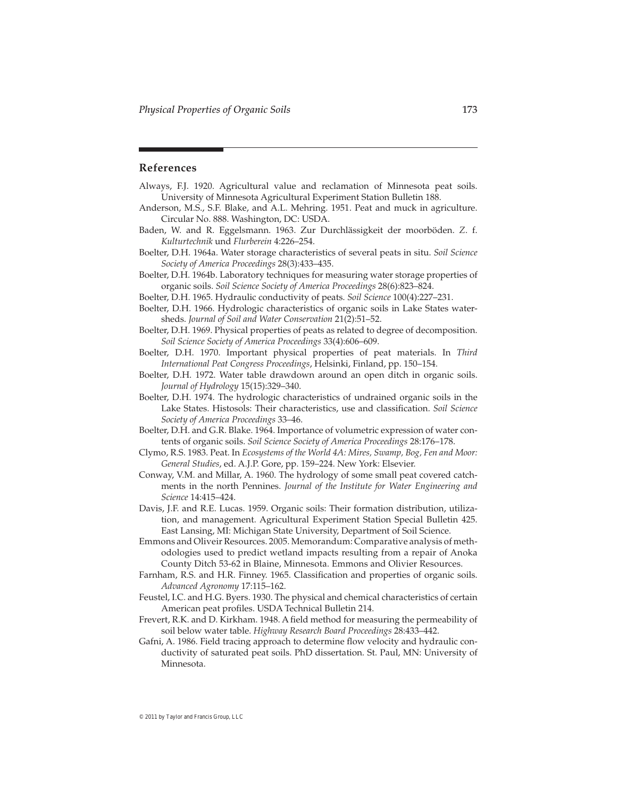#### **References**

- Always, F.J. 1920. Agricultural value and reclamation of Minnesota peat soils. University of Minnesota Agricultural Experiment Station Bulletin 188.
- Anderson, M.S., S.F. Blake, and A.L. Mehring. 1951. Peat and muck in agriculture. Circular No. 888. Washington, DC: USDA.
- Baden, W. and R. Eggelsmann. 1963. Zur Durchlässigkeit der moorböden. *Z*. f. *Kulturtechnik* und *Flurberein* 4:226–254.
- Boelter, D.H. 1964a. Water storage characteristics of several peats in situ. *Soil Science Society of America Proceedings* 28(3):433–435.
- Boelter, D.H. 1964b. Laboratory techniques for measuring water storage properties of organic soils. *Soil Science Society of America Proceedings* 28(6):823–824.
- Boelter, D.H. 1965. Hydraulic conductivity of peats. *Soil Science* 100(4):227–231.
- Boelter, D.H. 1966. Hydrologic characteristics of organic soils in Lake States watersheds. *Journal of Soil and Water Conservation* 21(2):51–52.
- Boelter, D.H. 1969. Physical properties of peats as related to degree of decomposition. *Soil Science Society of America Proceedings* 33(4):606–609.
- Boelter, D.H. 1970. Important physical properties of peat materials. In *Third International Peat Congress Proceedings*, Helsinki, Finland, pp. 150–154.
- Boelter, D.H. 1972. Water table drawdown around an open ditch in organic soils. *Journal of Hydrology* 15(15):329–340.
- Boelter, D.H. 1974. The hydrologic characteristics of undrained organic soils in the Lake States. Histosols: Their characteristics, use and classification. *Soil Science Society of America Proceedings* 33–46.
- Boelter, D.H. and G.R. Blake. 1964. Importance of volumetric expression of water contents of organic soils. *Soil Science Society of America Proceedings* 28:176–178.
- Clymo, R.S. 1983. Peat. In *Ecosystems of the World 4A: Mires, Swamp, Bog, Fen and Moor: General Studies*, ed. A.J.P. Gore, pp. 159–224. New York: Elsevier.
- Conway, V.M. and Millar, A. 1960. The hydrology of some small peat covered catchments in the north Pennines. *Journal of the Institute for Water Engineering and Science* 14:415–424.
- Davis, J.F. and R.E. Lucas. 1959. Organic soils: Their formation distribution, utilization, and management. Agricultural Experiment Station Special Bulletin 425. East Lansing, MI: Michigan State University, Department of Soil Science.
- Emmons and Oliveir Resources. 2005. Memorandum: Comparative analysis of methodologies used to predict wetland impacts resulting from a repair of Anoka County Ditch 53-62 in Blaine, Minnesota. Emmons and Olivier Resources.
- Farnham, R.S. and H.R. Finney. 1965. Classification and properties of organic soils. *Advanced Agronomy* 17:115–162.
- Feustel, I.C. and H.G. Byers. 1930. The physical and chemical characteristics of certain American peat profiles. USDA Technical Bulletin 214.
- Frevert, R.K. and D. Kirkham. 1948. A field method for measuring the permeability of soil below water table. *Highway Research Board Proceedings* 28:433–442.
- Gafni, A. 1986. Field tracing approach to determine flow velocity and hydraulic conductivity of saturated peat soils. PhD dissertation. St. Paul, MN: University of Minnesota.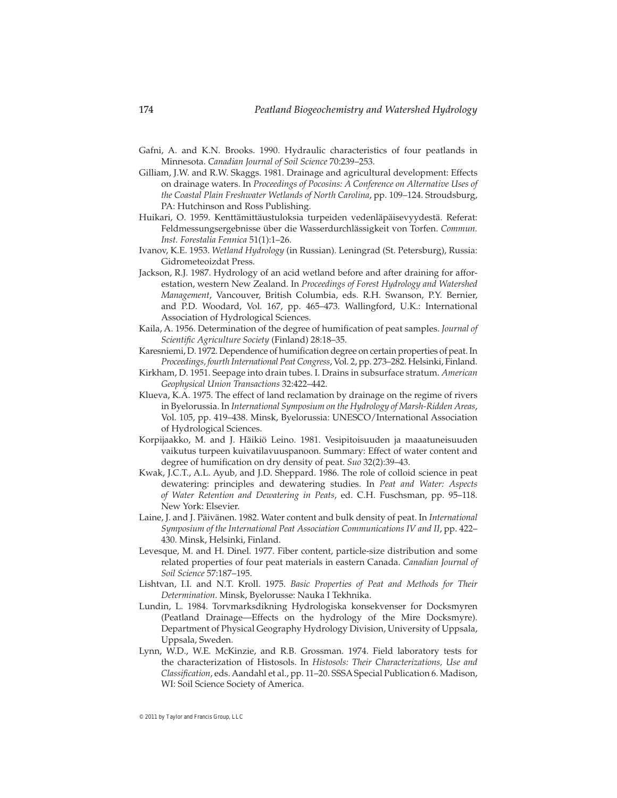- Gafni, A. and K.N. Brooks. 1990. Hydraulic characteristics of four peatlands in Minnesota. *Canadian Journal of Soil Science* 70:239–253.
- Gilliam, J.W. and R.W. Skaggs. 1981. Drainage and agricultural development: Effects on drainage waters. In *Proceedings of Pocosins: A Conference on Alternative Uses of the Coastal Plain Freshwater Wetlands of North Carolina*, pp. 109–124. Stroudsburg, PA: Hutchinson and Ross Publishing.
- Huikari, O. 1959. Kenttämittäustuloksia turpeiden vedenläpäisevyydestä. Referat: Feldmessungsergebnisse über die Wasserdurchlässigkeit von Torfen. *Commun. Inst. Forestalia Fennica* 51(1):1–26.
- Ivanov, K.E. 1953. *Wetland Hydrology* (in Russian). Leningrad (St. Petersburg), Russia: Gidrometeoizdat Press.
- Jackson, R.J. 1987. Hydrology of an acid wetland before and after draining for afforestation, western New Zealand. In *Proceedings of Forest Hydrology and Watershed Management*, Vancouver, British Columbia, eds. R.H. Swanson, P.Y. Bernier, and P.D. Woodard, Vol. 167, pp. 465–473. Wallingford, U.K.: International Association of Hydrological Sciences.
- Kaila, A. 1956. Determination of the degree of humification of peat samples. *Journal of Scientific Agriculture Society* (Finland) 28:18–35.
- Karesniemi, D. 1972. Dependence of humification degree on certain properties of peat. In *Proceedings, fourth International Peat Congress*, Vol. 2, pp. 273–282. Helsinki, Finland.
- Kirkham, D. 1951. Seepage into drain tubes. I. Drains in subsurface stratum. *American Geophysical Union Transactions* 32:422–442.
- Klueva, K.A. 1975. The effect of land reclamation by drainage on the regime of rivers in Byelorussia. In *International Symposium on the Hydrology of Marsh-Ridden Areas*, Vol. 105, pp. 419–438. Minsk, Byelorussia: UNESCO/International Association of Hydrological Sciences.
- Korpijaakko, M. and J. Häikiö Leino. 1981. Vesipitoisuuden ja maaatuneisuuden vaikutus turpeen kuivatilavuuspanoon. Summary: Effect of water content and degree of humification on dry density of peat. *Suo* 32(2):39–43.
- Kwak, J.C.T., A.L. Ayub, and J.D. Sheppard. 1986. The role of colloid science in peat dewatering: principles and dewatering studies. In *Peat and Water: Aspects of Water Retention and Dewatering in Peats*, ed. C.H. Fuschsman, pp. 95–118. New York: Elsevier.
- Laine, J. and J. Päivänen. 1982. Water content and bulk density of peat. In *International Symposium of the International Peat Association Communications IV and II, pp. 422–* 430. Minsk, Helsinki, Finland.
- Levesque, M. and H. Dinel. 1977. Fiber content, particle-size distribution and some related properties of four peat materials in eastern Canada. *Canadian Journal of Soil Science* 57:187–195.
- Lishtvan, I.I. and N.T. Kroll. 1975. *Basic Properties of Peat and Methods for Their Determination*. Minsk, Byelorusse: Nauka I Tekhnika.
- Lundin, L. 1984. Torvmarksdikning Hydrologiska konsekvenser for Docksmyren (Peatland Drainage—Effects on the hydrology of the Mire Docksmyre). Department of Physical Geography Hydrology Division, University of Uppsala, Uppsala, Sweden.
- Lynn, W.D., W.E. McKinzie, and R.B. Grossman. 1974. Field laboratory tests for the characterization of Histosols. In *Histosols: Their Characterizations, Use and Classification*, eds. Aandahl et al., pp. 11–20. SSSA Special Publication 6. Madison, WI: Soil Science Society of America.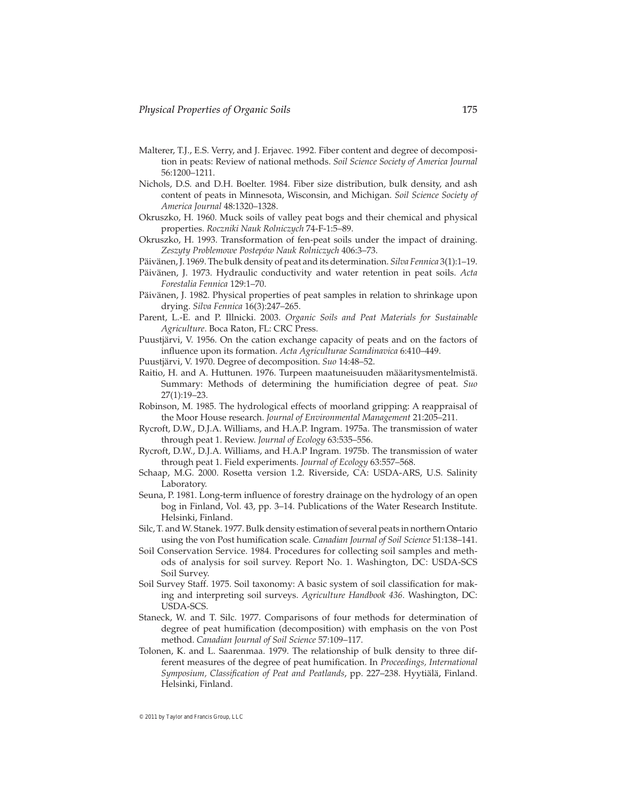- Malterer, T.J., E.S. Verry, and J. Erjavec. 1992. Fiber content and degree of decomposition in peats: Review of national methods. *Soil Science Society of America Journal* 56:1200–1211.
- Nichols, D.S. and D.H. Boelter. 1984. Fiber size distribution, bulk density, and ash content of peats in Minnesota, Wisconsin, and Michigan. *Soil Science Society of America Journal* 48:1320–1328.
- Okruszko, H. 1960. Muck soils of valley peat bogs and their chemical and physical properties. *Roczniki Nauk Rolniczych* 74-F-1:5–89.
- Okruszko, H. 1993. Transformation of fen-peat soils under the impact of draining. *Zeszyty Problemowe Postepów Nauk Rolniczych* 406:3–73.
- Päivänen, J. 1969. The bulk density of peat and its determination. *Silva Fennica* 3(1):1–19.
- Päivänen, J. 1973. Hydraulic conductivity and water retention in peat soils. *Acta Forestalia Fennica* 129:1–70.
- Päivänen, J. 1982. Physical properties of peat samples in relation to shrinkage upon drying. *Silva Fennica* 16(3):247–265.
- Parent, L.-E. and P. Illnicki. 2003. *Organic Soils and Peat Materials for Sustainable Agriculture*. Boca Raton, FL: CRC Press.
- Puustjärvi, V. 1956. On the cation exchange capacity of peats and on the factors of influence upon its formation. *Acta Agriculturae Scandinavica* 6:410–449.
- Puustjärvi, V. 1970. Degree of decomposition. *Suo* 14:48–52.
- Raitio, H. and A. Huttunen. 1976. Turpeen maatuneisuuden määaritysmentelmistä. Summary: Methods of determining the humificiation degree of peat. *Suo* 27(1):19–23.
- Robinson, M. 1985. The hydrological effects of moorland gripping: A reappraisal of the Moor House research. *Journal of Environmental Management* 21:205–211.
- Rycroft, D.W., D.J.A. Williams, and H.A.P. Ingram. 1975a. The transmission of water through peat 1. Review. *Journal of Ecology* 63:535–556.
- Rycroft, D.W., D.J.A. Williams, and H.A.P Ingram. 1975b. The transmission of water through peat 1. Field experiments. *Journal of Ecology* 63:557–568.
- Schaap, M.G. 2000. Rosetta version 1.2. Riverside, CA: USDA-ARS, U.S. Salinity Laboratory.
- Seuna, P. 1981. Long-term influence of forestry drainage on the hydrology of an open bog in Finland, Vol. 43, pp. 3–14. Publications of the Water Research Institute. Helsinki, Finland.
- Silc, T. and W. Stanek. 1977. Bulk density estimation of several peats in northern Ontario using the von Post humification scale. *Canadian Journal of Soil Science* 51:138–141.
- Soil Conservation Service. 1984. Procedures for collecting soil samples and methods of analysis for soil survey. Report No. 1. Washington, DC: USDA-SCS Soil Survey.
- Soil Survey Staff. 1975. Soil taxonomy: A basic system of soil classification for making and interpreting soil surveys. *Agriculture Handbook 436*. Washington, DC: USDA-SCS.
- Staneck, W. and T. Silc. 1977. Comparisons of four methods for determination of degree of peat humification (decomposition) with emphasis on the von Post method. *Canadian Journal of Soil Science* 57:109–117.
- Tolonen, K. and L. Saarenmaa. 1979. The relationship of bulk density to three different measures of the degree of peat humification. In *Proceedings, International Symposium, Classification of Peat and Peatlands*, pp. 227–238. Hyytiälä, Finland. Helsinki, Finland.